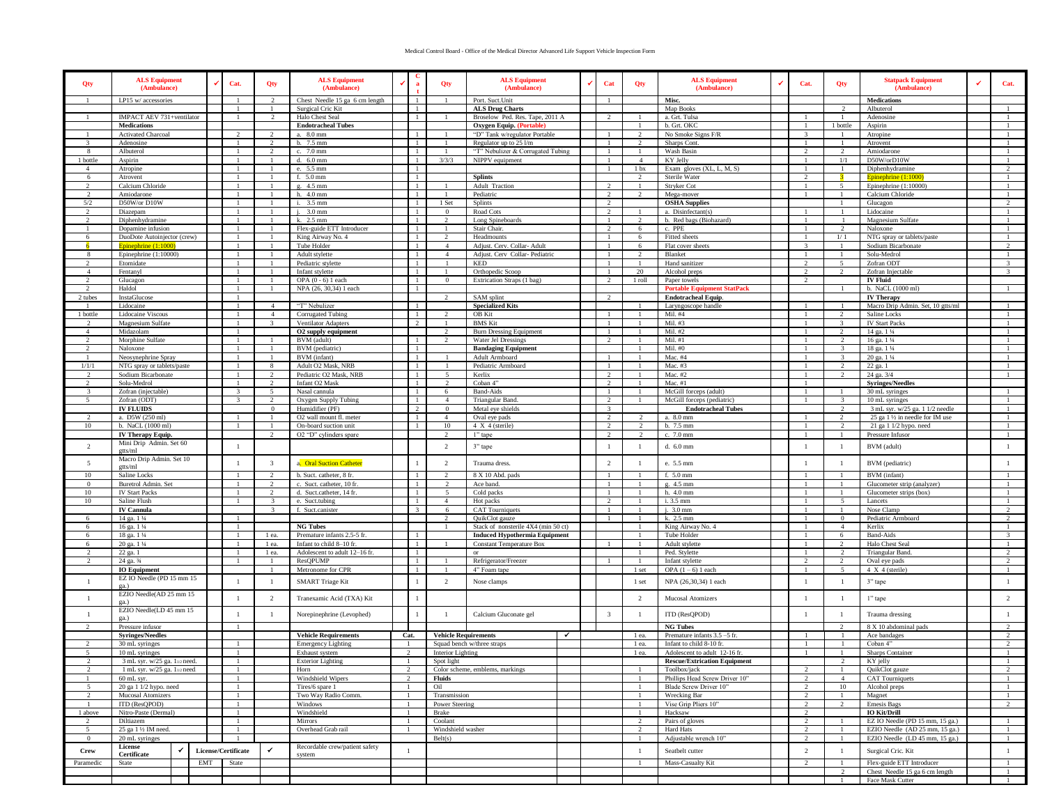## Medical Control Board - Office of the Medical Director Advanced Life Support Vehicle Inspection Form

| $\mathbf{1}$<br>2<br>-1<br>$\overline{1}$<br>Map Books<br>Albuterol<br>Surgical Cric Kit<br>1<br><b>ALS Drug Charts</b><br>$\mathbf{1}$<br>$\gamma$<br>IMPACT AEV 731+ventilator<br>Halo Chest Seal<br>Broselow Ped. Res. Tape, 2011 A<br>a. Grt. Tulsa<br>$\overline{1}$<br>Adenosine<br><b>Endotracheal Tubes</b><br>b. Grt. OKC<br>1 bottle<br><b>Medications</b><br>Oxygen Equip. (Portable)<br>Aspirin<br>-1<br>Activated Charcoal<br>a. 8.0 mm<br>"D" Tank w/regulator Portable<br>No Smoke Signs F/R<br>$\overline{\mathcal{L}}$<br>$\mathcal{L}$<br>$\mathcal{D}$<br>$\mathcal{R}$<br>Atropine<br>-1.<br>-1-<br>- 1 -<br>b. 7.5 mm<br>Regulator up to 25 l/m<br>Sharps Cont.<br>3<br>Adenosine<br>2<br>$\mathbf{1}$<br>- 1<br>$\mathcal{L}$<br>-1<br>-1<br>Atrovent<br>Albuterol<br>c. 7.0 mm<br>"T" Nebulizer & Corrugated Tubing<br>Wash Basin<br>-8<br>$\overline{2}$<br>$\overline{2}$<br>2<br>Amiodarone<br>1 bottle<br>d. 6.0 mm<br>3/3/3<br>NIPPV equipment<br>KY Jelly<br>1/1<br>D50W/orD10W<br>Aspirin<br>$\overline{1}$<br>$\overline{4}$<br>$\mathbf{1}$<br>Exam gloves (XL, L, M, S)<br>$\mathcal{L}$<br>e. 5.5 mm<br>1 <sub>bx</sub><br>Diphenhydramine<br>Atropine<br>$\overline{4}$<br>f. 5.0 mm<br><b>Splints</b><br>Sterile Water<br>6<br>Atrovent<br>$\overline{2}$<br>Epinephrine (1:1000)<br>-1<br>Calcium Chloride<br>g. 4.5 mm<br>Adult Traction<br>Stryker Cot<br>Epinephrine (1:10000)<br>$\overline{2}$<br>$\mathbf{1}$<br>$\mathbf{1}$<br>$\mathcal{D}$<br>$\sim$<br>-1<br>-1<br>-1<br>h. 4.0 mm<br>Pediatric<br>Mega-mover<br>Calcium Chloride<br>2<br>Amiodarone<br>$\mathbf{1}$<br>1<br><sup>2</sup><br>$2^{1}$<br>$\overline{1}$<br>$\mathbf{1}$<br>-1<br>5/2<br>D50W/or D10W<br>i. 3.5 mm<br>Splints<br>-1<br>1 Set<br>2<br><b>OSHA Supplies</b><br>$\overline{1}$<br>Glucagon<br>2<br>$\mathcal{D}$<br>$i. 3.0$ mm<br>$\overline{2}$<br>a. Disinfectant(s)<br>Diazepam<br>$\mathbf{1}$<br>$\Omega$<br>Road Cots<br>Lidocaine<br>-1<br>k. 2.5 mm<br>$\overline{1}$<br>Magnesium Sulfate<br>Diphenhydramine<br>Long Spineboards<br>b. Red bags (Biohazard)<br>Flex-guide ETT Introducer<br>$\overline{2}$<br>$\mathbf{1}$<br>Dopamine infusion<br>$\mathbf{1}$<br>Stair Chair.<br>6<br>c. PPE<br>2<br>Naloxone<br>DuoDote Autoinjector (crew)<br>King Airway No. 4<br>Headmounts<br>Fitted sheets<br>NTG spray or tablets/paste<br>6<br>1/1<br>6<br>-1<br>-1<br>$\mathcal{L}$<br>-1<br>-1<br>Tube Holder<br>$\overline{2}$<br>Adjust. Cerv. Collar- Adult<br>Flat cover sheets<br>Sodium Bicarbonate<br>6<br>Epinephrine $(1:1000)$<br>-1<br>1<br>4<br>-1<br>6<br>3<br>$\overline{1}$<br>Epinephrine $(1:10000)$<br>Adult stylette<br>Adjust. Cerv Collar-Pediatric<br>Solu-Medrol<br>-8<br>$\overline{1}$<br>$\overline{4}$<br>$\overline{2}$<br>Blanket<br>$\overline{1}$<br>$\overline{1}$<br>$\mathbf{1}$<br>Pediatric stylette<br>$\overline{2}$<br>5<br>Zofran ODT<br>$\overline{3}$<br>$\mathcal{D}$<br>Etomidate<br><b>KED</b><br>$\overline{1}$<br>Hand sanitizer<br>-1<br>$\overline{3}$<br>$\overline{4}$<br>20<br>$\overline{\mathcal{L}}$<br>2<br>Zofran Injectable<br>Fentanyl<br>Infant stylette<br>Orthopedic Scoop<br>Alcohol preps<br><b>IV Fluid</b><br>Glucagon<br>OPA $(0 - 6)$ 1 each<br>$\mathbf{0}$<br>Extrication Straps (1 bag)<br>1 roll<br>Paper towels<br>Haldol<br>NPA (26, 30,34) 1 each<br><b>Portable Equipment StatPack</b><br>b. NaCL (1000 ml)<br>2<br>-1<br>-1.<br>2 tubes<br>InstaGlucose<br>SAM splint<br><b>Endotracheal Equip.</b><br><b>IV Therapy</b><br>$\mathcal{D}$<br>Lidocaine<br>"T" Nebulizer<br><b>Specialized Kits</b><br>Macro Drip Admin. Set, 10 gtts/ml<br>$\mathbf{1}$<br>$\overline{4}$<br>Laryngoscope handle<br>-1<br>-1<br>1 bottle<br>OB Kit<br>Mil. #4<br>2<br>Lidocaine Viscous<br>$\mathbf{A}$<br>Corrugated Tubing<br>$\mathbf{1}$<br>Saline Locks<br>$\overline{1}$<br>$\mathcal{D}$<br><b>BMS</b> Kit<br>Mil. #3<br>Magnesium Sulfate<br>$\mathbf{3}$<br>Ventilator Adapters<br>$\mathcal{R}$<br><b>IV Start Packs</b><br>Mil. #2<br>$\overline{4}$<br>Midazolam<br>O2 supply equipment<br>$\overline{2}$<br><b>Burn Dressing Equipment</b><br>2<br>14 ga. 1 1/4<br>$\mathbf{1}$<br>Morphine Sulfate<br>BVM (adult)<br>Water Jel Dressings<br>Mil. #1<br>16 ga. 1 1/4<br>$\overline{2}$<br>2<br>$\overline{2}$<br>$\mathcal{L}$<br>-1<br>-1<br>BVM (pediatric)<br>Mil. #0<br>Naloxone<br>$\mathbf{1}$<br><b>Bandaging Equipment</b><br>$\overline{\mathbf{3}}$<br>18 ga. 1 1/4<br>$\mathcal{L}$<br>BVM (infant)<br>Mac. #4<br>20 ga. 1 1/4<br>$\mathbf{1}$<br>Neosynephrine Spray<br>Adult Armboard<br>$\overline{\mathbf{3}}$<br>1/1/1<br>NTG spray or tablets/paste<br>8<br>Adult O2 Mask, NRB<br>Pediatric Armboard<br>Mac. #3<br><sup>2</sup><br>22 ga. 1<br>$\overline{1}$<br>$\overline{1}$<br>-1<br>$\mathcal{L}$<br>Pediatric O2 Mask, NRB<br>Mac. #2<br>$\mathcal{D}$<br>24 ga. 3/4<br>Sodium Bicarbonate<br>Kerlix<br>Solu-Medrol<br>Infant O2 Mask<br>Coban 4"<br><b>Syringes/Needles</b><br>$\overline{2}$<br>2<br>Mac. $#1$<br>$\mathbf{1}$<br>Zofran (injectable)<br><b>Band-Aids</b><br>McGill forceps (adult)<br>3<br>5<br>Nasal cannula<br>30 mL syringes<br>3<br>$\mathbf{1}$<br>6<br>-1<br>$\mathbf{1}$<br>-1<br>-1<br>-1<br>Zofran (ODT)<br>McGill forceps (pediatric)<br>$\sim$<br>$\mathcal{R}$<br>$\overline{2}$<br>Oxygen Supply Tubing<br>$\overline{1}$<br>$\overline{4}$<br>Triangular Band.<br>$\gamma$<br>$\mathcal{R}$<br>10 mL syringes<br>$\overline{1}$<br>-1<br><b>IV FLUIDS</b><br>3 mL syr. w/25 ga. 1 1/2 needle<br>$\Omega$<br>Humidifier (PF)<br>2<br>$\Omega$<br>Metal eye shields<br>$\mathcal{R}$<br><b>Endotracheal Tubes</b><br>$\overline{2}$<br>a. D5W (250 ml)<br>2<br>25 ga 1 1/2 in needle for IM use<br>$\overline{2}$<br>O2 wall mount fl. meter<br>$\overline{4}$<br>Oval eye pads<br>a. 8.0 mm<br>$\mathcal{D}$<br>$\mathbf{1}$<br>-1<br>$\mathcal{D}$<br>$\mathcal{D}$<br>10<br>b. 7.5 mm<br>$\mathcal{D}$<br>b. NaCL (1000 ml)<br>On-board suction unit<br>10<br>$4 X 4$ (sterile)<br>21 ga 1 1/2 hypo. need<br>O2 "D" cylinders spare<br>IV Therapy Equip.<br>$\overline{2}$<br>$\mathcal{D}$<br>1" tape<br>$\overline{2}$<br>c. 7.0 mm<br>Pressure Infusor<br>-1<br>Mini Drip Admin. Set 60<br>2<br>$\overline{2}$<br>3" tape<br>$\overline{1}$<br>d. 6.0 mm<br>$\perp$<br>BVM (adult)<br>$\mathbf{1}$<br>-1<br>$\mathbf{1}$<br>gtts/ml<br>Macro Drip Admin. Set 10<br>$5\overline{ }$<br>$\overline{\mathbf{3}}$<br>$\overline{2}$<br>a. Oral Suction Catheter<br>$\overline{1}$<br>2<br>Trauma dress.<br>e. 5.5 mm<br>-1<br>BVM (pediatric)<br>$\overline{1}$<br>-1<br>-1<br>gtts/ml<br>10<br>Saline Locks<br>2<br>b. Suct. catheter, 8 fr.<br>8 X 10 Abd. pads<br>f. 5.0 mm<br>BVM (infant)<br>$\overline{1}$<br>$\mathcal{D}$<br>$\overline{1}$<br>$\overline{1}$<br>Buretrol Admin. Set<br>c. Suct. catheter, 10 fr<br>g. 4.5 mm<br>$\Omega$<br>$\overline{2}$<br>$\overline{1}$<br>Ace band.<br>Glucometer strip (analyzer)<br>h. 4.0 mm<br>10<br><b>IV Start Packs</b><br>$\mathcal{D}$<br>d. Suct.catheter, 14 fr.<br>Cold packs<br>Glucometer strips (box)<br>$\sim$<br>$\overline{1}$<br>$\overline{1}$<br>10<br>Saline Flush<br>$\overline{3}$<br>$\mathcal{D}$<br>i. 3.5 mm<br>5<br>e. Suct.tubing<br>$\overline{4}$<br>Hot packs<br>Lancets<br><b>IV Cannula</b><br>f. Suct.canister<br>$.3.0$ mm<br>Nose Clamp<br>$\overline{3}$<br>$\overline{\mathbf{3}}$<br><b>CAT</b> Tourniquets<br>1<br>$\mathbf{1}$<br>$\overline{2}$<br>6<br>14 ga. 1 1/4<br>k. 2.5 mm<br>Pediatric Armboard<br>$\overline{2}$<br>QuikClot gauze<br>$\overline{0}$<br>$\overline{2}$<br>6<br>-1-<br>-1<br><b>NG Tubes</b><br>Stack of nonsterile 4X4 (min 50 ct)<br>16 ga. 1 1/4<br>King Airway No. 4<br>$\overline{4}$<br>Kerlix<br>6<br>18 ga. 1 1/4<br>Premature infants 2.5-5 fr.<br><b>Induced Hypothermia Equipment</b><br>Tube Holder<br><b>Band-Aids</b><br>6<br>1 ea.<br>6<br>$\overline{\mathbf{3}}$<br>-1<br>20 ga. 1 1/4<br>Infant to child 8-10 fr.<br>1 ea.<br>$\mathbf{1}$<br><b>Constant Temperature Box</b><br>Adult stylette<br>Halo Chest Seal<br>6<br>$\overline{2}$<br>22 ga. 1<br>Adolescent to adult 12-16 fr.<br>1 ea.<br>Ped. Stylette<br><b>Triangular Band</b><br><b>or</b><br>Refrigerator/Freezer<br>24 ga. 34<br>ResOPUMP<br>Infant stylette<br>2<br>Oval eye pads<br>Metronome for CPR<br>4" Foam tape<br>OPA $(1-6)$ 1 each<br>4 X 4 (sterile)<br><b>IO</b> Equipment<br>1 set<br>5<br>1<br>-1<br>-1<br>-1<br>EZ IO Needle (PD 15 mm 15<br>1<br><b>SMART</b> Triage Kit<br>$\overline{2}$<br>Nose clamps<br>1 set<br>NPA (26,30,34) 1 each<br>3" tape<br>$\mathbf{1}$<br>$\overline{1}$<br>-1<br>ga.)<br>EZIO Needle(AD 25 mm 15<br>$\overline{2}$<br>2<br>-1<br>Tranexamic Acid (TXA) Kit<br>2<br>Mucosal Atomizers<br>-1<br>$\overline{1}$<br>1" tape<br>ga.)<br>EZIO Needle(LD 45 mm 15<br>$\overline{\mathbf{3}}$<br>$\perp$<br>$\overline{1}$<br>$\mathbf{1}$<br>Norepinephrine (Levophed)<br>$\overline{1}$<br>Calcium Gluconate gel<br>-1<br>ITD (ResQPOD)<br>$\mathbf{1}$<br>Trauma dressing<br>$\mathbf{1}$<br>ga.)<br>Pressure infusor<br><b>NG Tubes</b><br>8 X 10 abdominal pads<br>$\checkmark$<br>Premature infants 3.5 -5 fr.<br>$\mathcal{L}$<br><b>Syringes/Needles</b><br><b>Vehicle Requirements</b><br>Cat.<br><b>Vehicle Requirements</b><br>$\overline{1}$<br>Ace bandages<br>1 ea.<br>30 mL syringes<br>Squad bench w/three straps<br>Infant to child 8-10 fr.<br>Coban 4"<br><b>Emergency Lighting</b><br>1 ea.<br>10 mL syringes<br>Exhaust system<br><b>Interior Lighting</b><br>Adolescent to adult 12-16 fr.<br>Sharps Container<br>5<br>1 ea.<br>3 mL syr. w/25 ga. 11/2 need.<br><b>Rescue/Extrication Equipment</b><br><b>Exterior Lighting</b><br>Spot light<br>KY jelly<br>1 mL syr. $w/25$ ga. $1_{1/2}$ need.<br>Horn<br>Color scheme, emblems, markings<br>Toolbox/jack<br>QuikClot gauze<br>2<br>60 mL syr.<br>Windshield Wipers<br>Fluids<br>Phillips Head Screw Driver 10"<br><b>CAT Tourniquets</b><br>$\overline{4}$<br>20 ga 1 1/2 hypo. need<br>Oil<br>Blade Screw Driver 10"<br>10<br>Alcohol preps<br>Tires/6 spare 1<br>$\mathbf{1}$<br>Two Way Radio Comm.<br>Mucosal Atomizers<br>Transmission<br>Wrecking Bar<br>Magnet<br>$\mathbf{I}$<br>ITD (ResQPOD)<br>Windows<br>Power Steering<br>Vise Grip Pliers 10"<br>Emesis Bags<br>2<br>$\overline{2}$<br>2<br><b>IO Kit/Drill</b><br>1 above<br>Nitro-Paste (Dermal)<br>Windshield<br>Brake<br>Hacksaw<br>-1<br>-1<br>2<br>-1<br>Pairs of gloves<br>EZ IO Needle (PD 15 mm, 15 ga.)<br>Diltiazem<br>Mirrors<br>Coolant<br>2<br>$\overline{2}$<br>$\overline{2}$<br>-1<br>-1<br>25 ga 1 1/2 IM need.<br>Overhead Grab rail<br>Windshield washer<br>EZIO Needle (AD 25 mm, 15 ga.)<br>$\overline{\phantom{0}}$<br>Hard Hats<br>$\mathbf{1}$<br>Adjustable wrench 10"<br>EZIO Needle (LD 45 mm, 15 ga.)<br>20 mL syringes<br>Belt(s)<br>$\overline{2}$<br>$\overline{1}$<br>$\Omega$<br>$\overline{1}$<br>License<br>Recordable crew/patient safety<br>$\checkmark$<br>$\epsilon$<br>$\mathbf{1}$<br>License/Certificate<br>2<br>Surgical Cric. Kit<br>Crew<br>$\mathbf{1}$<br>-1<br>Seatbelt cutter<br>$\mathbf{1}$<br>Certificate<br>system<br>State<br>EMT<br>State<br>Mass-Casualty Kit<br>Flex-guide ETT Introducer<br>Paramedic<br>$\overline{2}$<br>$\mathbf{1}$<br>Chest Needle 15 ga 6 cm length<br>$\mathbf{1}$<br>-2<br>Face Mask Cutter<br>$\mathbf{1}$ | Qty | <b>ALS Equipment</b><br>(Ambulance) | ✓<br>Cat. | Qty | <b>ALS Equipment</b><br>(Ambulance) | ✔ | a | Qty | <b>ALS Equipment</b><br>(Ambulance) | $\checkmark$ | Cat | Qty | <b>ALS Equipment</b><br>(Ambulance) | ✔ | Cat. | Qty | <b>Statpack Equipment</b><br>(Ambulance) | Cat. |
|----------------------------------------------------------------------------------------------------------------------------------------------------------------------------------------------------------------------------------------------------------------------------------------------------------------------------------------------------------------------------------------------------------------------------------------------------------------------------------------------------------------------------------------------------------------------------------------------------------------------------------------------------------------------------------------------------------------------------------------------------------------------------------------------------------------------------------------------------------------------------------------------------------------------------------------------------------------------------------------------------------------------------------------------------------------------------------------------------------------------------------------------------------------------------------------------------------------------------------------------------------------------------------------------------------------------------------------------------------------------------------------------------------------------------------------------------------------------------------------------------------------------------------------------------------------------------------------------------------------------------------------------------------------------------------------------------------------------------------------------------------------------------------------------------------------------------------------------------------------------------------------------------------------------------------------------------------------------------------------------------------------------------------------------------------------------------------------------------------------------------------------------------------------------------------------------------------------------------------------------------------------------------------------------------------------------------------------------------------------------------------------------------------------------------------------------------------------------------------------------------------------------------------------------------------------------------------------------------------------------------------------------------------------------------------------------------------------------------------------------------------------------------------------------------------------------------------------------------------------------------------------------------------------------------------------------------------------------------------------------------------------------------------------------------------------------------------------------------------------------------------------------------------------------------------------------------------------------------------------------------------------------------------------------------------------------------------------------------------------------------------------------------------------------------------------------------------------------------------------------------------------------------------------------------------------------------------------------------------------------------------------------------------------------------------------------------------------------------------------------------------------------------------------------------------------------------------------------------------------------------------------------------------------------------------------------------------------------------------------------------------------------------------------------------------------------------------------------------------------------------------------------------------------------------------------------------------------------------------------------------------------------------------------------------------------------------------------------------------------------------------------------------------------------------------------------------------------------------------------------------------------------------------------------------------------------------------------------------------------------------------------------------------------------------------------------------------------------------------------------------------------------------------------------------------------------------------------------------------------------------------------------------------------------------------------------------------------------------------------------------------------------------------------------------------------------------------------------------------------------------------------------------------------------------------------------------------------------------------------------------------------------------------------------------------------------------------------------------------------------------------------------------------------------------------------------------------------------------------------------------------------------------------------------------------------------------------------------------------------------------------------------------------------------------------------------------------------------------------------------------------------------------------------------------------------------------------------------------------------------------------------------------------------------------------------------------------------------------------------------------------------------------------------------------------------------------------------------------------------------------------------------------------------------------------------------------------------------------------------------------------------------------------------------------------------------------------------------------------------------------------------------------------------------------------------------------------------------------------------------------------------------------------------------------------------------------------------------------------------------------------------------------------------------------------------------------------------------------------------------------------------------------------------------------------------------------------------------------------------------------------------------------------------------------------------------------------------------------------------------------------------------------------------------------------------------------------------------------------------------------------------------------------------------------------------------------------------------------------------------------------------------------------------------------------------------------------------------------------------------------------------------------------------------------------------------------------------------------------------------------------------------------------------------------------------------------------------------------------------------------------------------------------------------------------------------------------------------------------------------------------------------------------------------------------------------------------------------------------------------------------------------------------------------------------------------------------------------------------------------------------------------------------------------------------------------------------------------------------------------------------------------------------------------------------------------------------------------------------------------------------------------------------------------------------------------------------------------------------------------------------------------------------------------------------------------------------------------------------------------------------------------------------------------------------------------------------------------------------------------------------------------------------------------------------------------------------------------------------------------------------------------------------------------------------------------------------------------------------------------------------------------------------------------------------------------------------------------------------------------------------------------------------------------------------------------------------------------------------------------------------------------------------------------------------------------------------------------------------------------------------------------------------------------------------------------------------------------------------------------------------------------------------------------------------------------------------------------------------------------------------------------------------------------------------------------------------------------------------------------------------------------------------------------------------------------------------------------------------------------------------------------------------------------------------------------------------------------------------------------------------------------------------------------------------------------------------------------------------------------------------------------------------------------------------------------------------------------------------------------------------------------------------------------------------------------------------------------------------------------------------------------------------------------------------------------------------------------------------------------------------------------------------------------------------------------------------------------------------------------------------------------------------------------------------------------------------------------------------------------------------------------------------------------------------------------------------------------------------------------------------------------------------------------------------------------------------------------------------------------------------------------------------------------------------------------------------------------------------------------------------------------------------------------------------------------------------------------------------------------------------------------------------------------------------------------------------------------------------------------------------------------------------------------------------------------------------------------------------------------------------------------------------------------------------------------------------|-----|-------------------------------------|-----------|-----|-------------------------------------|---|---|-----|-------------------------------------|--------------|-----|-----|-------------------------------------|---|------|-----|------------------------------------------|------|
|                                                                                                                                                                                                                                                                                                                                                                                                                                                                                                                                                                                                                                                                                                                                                                                                                                                                                                                                                                                                                                                                                                                                                                                                                                                                                                                                                                                                                                                                                                                                                                                                                                                                                                                                                                                                                                                                                                                                                                                                                                                                                                                                                                                                                                                                                                                                                                                                                                                                                                                                                                                                                                                                                                                                                                                                                                                                                                                                                                                                                                                                                                                                                                                                                                                                                                                                                                                                                                                                                                                                                                                                                                                                                                                                                                                                                                                                                                                                                                                                                                                                                                                                                                                                                                                                                                                                                                                                                                                                                                                                                                                                                                                                                                                                                                                                                                                                                                                                                                                                                                                                                                                                                                                                                                                                                                                                                                                                                                                                                                                                                                                                                                                                                                                                                                                                                                                                                                                                                                                                                                                                                                                                                                                                                                                                                                                                                                                                                                                                                                                                                                                                                                                                                                                                                                                                                                                                                                                                                                                                                                                                                                                                                                                                                                                                                                                                                                                                                                                                                                                                                                                                                                                                                                                                                                                                                                                                                                                                                                                                                                                                                                                                                                                                                                                                                                                                                                                                                                                                                                                                                                                                                                                                                                                                                                                                                                                                                                                                                                                                                                                                                                                                                                                                                                                                                                                                                                                                                                                                                                                                                                                                                                                                                                                                                                                                                                                                                                                                                                                                                                                                                                                                                                                                                                                                                                                                                                                                                                                                                                                                                                                                                                                                                                                                                                                                                                                                                                                                                                                                                                                                                                                                                                                                                                                                                                                                                                                                                                                          |     | LP15 w/ accessories                 |           |     | Chest Needle 15 ga 6 cm length      |   |   |     | Port. Suct.Unit                     |              |     |     | Misc.                               |   |      |     | <b>Medications</b>                       |      |
|                                                                                                                                                                                                                                                                                                                                                                                                                                                                                                                                                                                                                                                                                                                                                                                                                                                                                                                                                                                                                                                                                                                                                                                                                                                                                                                                                                                                                                                                                                                                                                                                                                                                                                                                                                                                                                                                                                                                                                                                                                                                                                                                                                                                                                                                                                                                                                                                                                                                                                                                                                                                                                                                                                                                                                                                                                                                                                                                                                                                                                                                                                                                                                                                                                                                                                                                                                                                                                                                                                                                                                                                                                                                                                                                                                                                                                                                                                                                                                                                                                                                                                                                                                                                                                                                                                                                                                                                                                                                                                                                                                                                                                                                                                                                                                                                                                                                                                                                                                                                                                                                                                                                                                                                                                                                                                                                                                                                                                                                                                                                                                                                                                                                                                                                                                                                                                                                                                                                                                                                                                                                                                                                                                                                                                                                                                                                                                                                                                                                                                                                                                                                                                                                                                                                                                                                                                                                                                                                                                                                                                                                                                                                                                                                                                                                                                                                                                                                                                                                                                                                                                                                                                                                                                                                                                                                                                                                                                                                                                                                                                                                                                                                                                                                                                                                                                                                                                                                                                                                                                                                                                                                                                                                                                                                                                                                                                                                                                                                                                                                                                                                                                                                                                                                                                                                                                                                                                                                                                                                                                                                                                                                                                                                                                                                                                                                                                                                                                                                                                                                                                                                                                                                                                                                                                                                                                                                                                                                                                                                                                                                                                                                                                                                                                                                                                                                                                                                                                                                                                                                                                                                                                                                                                                                                                                                                                                                                                                                                                                          |     |                                     |           |     |                                     |   |   |     |                                     |              |     |     |                                     |   |      |     |                                          |      |
|                                                                                                                                                                                                                                                                                                                                                                                                                                                                                                                                                                                                                                                                                                                                                                                                                                                                                                                                                                                                                                                                                                                                                                                                                                                                                                                                                                                                                                                                                                                                                                                                                                                                                                                                                                                                                                                                                                                                                                                                                                                                                                                                                                                                                                                                                                                                                                                                                                                                                                                                                                                                                                                                                                                                                                                                                                                                                                                                                                                                                                                                                                                                                                                                                                                                                                                                                                                                                                                                                                                                                                                                                                                                                                                                                                                                                                                                                                                                                                                                                                                                                                                                                                                                                                                                                                                                                                                                                                                                                                                                                                                                                                                                                                                                                                                                                                                                                                                                                                                                                                                                                                                                                                                                                                                                                                                                                                                                                                                                                                                                                                                                                                                                                                                                                                                                                                                                                                                                                                                                                                                                                                                                                                                                                                                                                                                                                                                                                                                                                                                                                                                                                                                                                                                                                                                                                                                                                                                                                                                                                                                                                                                                                                                                                                                                                                                                                                                                                                                                                                                                                                                                                                                                                                                                                                                                                                                                                                                                                                                                                                                                                                                                                                                                                                                                                                                                                                                                                                                                                                                                                                                                                                                                                                                                                                                                                                                                                                                                                                                                                                                                                                                                                                                                                                                                                                                                                                                                                                                                                                                                                                                                                                                                                                                                                                                                                                                                                                                                                                                                                                                                                                                                                                                                                                                                                                                                                                                                                                                                                                                                                                                                                                                                                                                                                                                                                                                                                                                                                                                                                                                                                                                                                                                                                                                                                                                                                                                                                                                          |     |                                     |           |     |                                     |   |   |     |                                     |              |     |     |                                     |   |      |     |                                          |      |
|                                                                                                                                                                                                                                                                                                                                                                                                                                                                                                                                                                                                                                                                                                                                                                                                                                                                                                                                                                                                                                                                                                                                                                                                                                                                                                                                                                                                                                                                                                                                                                                                                                                                                                                                                                                                                                                                                                                                                                                                                                                                                                                                                                                                                                                                                                                                                                                                                                                                                                                                                                                                                                                                                                                                                                                                                                                                                                                                                                                                                                                                                                                                                                                                                                                                                                                                                                                                                                                                                                                                                                                                                                                                                                                                                                                                                                                                                                                                                                                                                                                                                                                                                                                                                                                                                                                                                                                                                                                                                                                                                                                                                                                                                                                                                                                                                                                                                                                                                                                                                                                                                                                                                                                                                                                                                                                                                                                                                                                                                                                                                                                                                                                                                                                                                                                                                                                                                                                                                                                                                                                                                                                                                                                                                                                                                                                                                                                                                                                                                                                                                                                                                                                                                                                                                                                                                                                                                                                                                                                                                                                                                                                                                                                                                                                                                                                                                                                                                                                                                                                                                                                                                                                                                                                                                                                                                                                                                                                                                                                                                                                                                                                                                                                                                                                                                                                                                                                                                                                                                                                                                                                                                                                                                                                                                                                                                                                                                                                                                                                                                                                                                                                                                                                                                                                                                                                                                                                                                                                                                                                                                                                                                                                                                                                                                                                                                                                                                                                                                                                                                                                                                                                                                                                                                                                                                                                                                                                                                                                                                                                                                                                                                                                                                                                                                                                                                                                                                                                                                                                                                                                                                                                                                                                                                                                                                                                                                                                                                                                          |     |                                     |           |     |                                     |   |   |     |                                     |              |     |     |                                     |   |      |     |                                          |      |
|                                                                                                                                                                                                                                                                                                                                                                                                                                                                                                                                                                                                                                                                                                                                                                                                                                                                                                                                                                                                                                                                                                                                                                                                                                                                                                                                                                                                                                                                                                                                                                                                                                                                                                                                                                                                                                                                                                                                                                                                                                                                                                                                                                                                                                                                                                                                                                                                                                                                                                                                                                                                                                                                                                                                                                                                                                                                                                                                                                                                                                                                                                                                                                                                                                                                                                                                                                                                                                                                                                                                                                                                                                                                                                                                                                                                                                                                                                                                                                                                                                                                                                                                                                                                                                                                                                                                                                                                                                                                                                                                                                                                                                                                                                                                                                                                                                                                                                                                                                                                                                                                                                                                                                                                                                                                                                                                                                                                                                                                                                                                                                                                                                                                                                                                                                                                                                                                                                                                                                                                                                                                                                                                                                                                                                                                                                                                                                                                                                                                                                                                                                                                                                                                                                                                                                                                                                                                                                                                                                                                                                                                                                                                                                                                                                                                                                                                                                                                                                                                                                                                                                                                                                                                                                                                                                                                                                                                                                                                                                                                                                                                                                                                                                                                                                                                                                                                                                                                                                                                                                                                                                                                                                                                                                                                                                                                                                                                                                                                                                                                                                                                                                                                                                                                                                                                                                                                                                                                                                                                                                                                                                                                                                                                                                                                                                                                                                                                                                                                                                                                                                                                                                                                                                                                                                                                                                                                                                                                                                                                                                                                                                                                                                                                                                                                                                                                                                                                                                                                                                                                                                                                                                                                                                                                                                                                                                                                                                                                                                                          |     |                                     |           |     |                                     |   |   |     |                                     |              |     |     |                                     |   |      |     |                                          |      |
|                                                                                                                                                                                                                                                                                                                                                                                                                                                                                                                                                                                                                                                                                                                                                                                                                                                                                                                                                                                                                                                                                                                                                                                                                                                                                                                                                                                                                                                                                                                                                                                                                                                                                                                                                                                                                                                                                                                                                                                                                                                                                                                                                                                                                                                                                                                                                                                                                                                                                                                                                                                                                                                                                                                                                                                                                                                                                                                                                                                                                                                                                                                                                                                                                                                                                                                                                                                                                                                                                                                                                                                                                                                                                                                                                                                                                                                                                                                                                                                                                                                                                                                                                                                                                                                                                                                                                                                                                                                                                                                                                                                                                                                                                                                                                                                                                                                                                                                                                                                                                                                                                                                                                                                                                                                                                                                                                                                                                                                                                                                                                                                                                                                                                                                                                                                                                                                                                                                                                                                                                                                                                                                                                                                                                                                                                                                                                                                                                                                                                                                                                                                                                                                                                                                                                                                                                                                                                                                                                                                                                                                                                                                                                                                                                                                                                                                                                                                                                                                                                                                                                                                                                                                                                                                                                                                                                                                                                                                                                                                                                                                                                                                                                                                                                                                                                                                                                                                                                                                                                                                                                                                                                                                                                                                                                                                                                                                                                                                                                                                                                                                                                                                                                                                                                                                                                                                                                                                                                                                                                                                                                                                                                                                                                                                                                                                                                                                                                                                                                                                                                                                                                                                                                                                                                                                                                                                                                                                                                                                                                                                                                                                                                                                                                                                                                                                                                                                                                                                                                                                                                                                                                                                                                                                                                                                                                                                                                                                                                                                          |     |                                     |           |     |                                     |   |   |     |                                     |              |     |     |                                     |   |      |     |                                          |      |
|                                                                                                                                                                                                                                                                                                                                                                                                                                                                                                                                                                                                                                                                                                                                                                                                                                                                                                                                                                                                                                                                                                                                                                                                                                                                                                                                                                                                                                                                                                                                                                                                                                                                                                                                                                                                                                                                                                                                                                                                                                                                                                                                                                                                                                                                                                                                                                                                                                                                                                                                                                                                                                                                                                                                                                                                                                                                                                                                                                                                                                                                                                                                                                                                                                                                                                                                                                                                                                                                                                                                                                                                                                                                                                                                                                                                                                                                                                                                                                                                                                                                                                                                                                                                                                                                                                                                                                                                                                                                                                                                                                                                                                                                                                                                                                                                                                                                                                                                                                                                                                                                                                                                                                                                                                                                                                                                                                                                                                                                                                                                                                                                                                                                                                                                                                                                                                                                                                                                                                                                                                                                                                                                                                                                                                                                                                                                                                                                                                                                                                                                                                                                                                                                                                                                                                                                                                                                                                                                                                                                                                                                                                                                                                                                                                                                                                                                                                                                                                                                                                                                                                                                                                                                                                                                                                                                                                                                                                                                                                                                                                                                                                                                                                                                                                                                                                                                                                                                                                                                                                                                                                                                                                                                                                                                                                                                                                                                                                                                                                                                                                                                                                                                                                                                                                                                                                                                                                                                                                                                                                                                                                                                                                                                                                                                                                                                                                                                                                                                                                                                                                                                                                                                                                                                                                                                                                                                                                                                                                                                                                                                                                                                                                                                                                                                                                                                                                                                                                                                                                                                                                                                                                                                                                                                                                                                                                                                                                                                                                                          |     |                                     |           |     |                                     |   |   |     |                                     |              |     |     |                                     |   |      |     |                                          |      |
|                                                                                                                                                                                                                                                                                                                                                                                                                                                                                                                                                                                                                                                                                                                                                                                                                                                                                                                                                                                                                                                                                                                                                                                                                                                                                                                                                                                                                                                                                                                                                                                                                                                                                                                                                                                                                                                                                                                                                                                                                                                                                                                                                                                                                                                                                                                                                                                                                                                                                                                                                                                                                                                                                                                                                                                                                                                                                                                                                                                                                                                                                                                                                                                                                                                                                                                                                                                                                                                                                                                                                                                                                                                                                                                                                                                                                                                                                                                                                                                                                                                                                                                                                                                                                                                                                                                                                                                                                                                                                                                                                                                                                                                                                                                                                                                                                                                                                                                                                                                                                                                                                                                                                                                                                                                                                                                                                                                                                                                                                                                                                                                                                                                                                                                                                                                                                                                                                                                                                                                                                                                                                                                                                                                                                                                                                                                                                                                                                                                                                                                                                                                                                                                                                                                                                                                                                                                                                                                                                                                                                                                                                                                                                                                                                                                                                                                                                                                                                                                                                                                                                                                                                                                                                                                                                                                                                                                                                                                                                                                                                                                                                                                                                                                                                                                                                                                                                                                                                                                                                                                                                                                                                                                                                                                                                                                                                                                                                                                                                                                                                                                                                                                                                                                                                                                                                                                                                                                                                                                                                                                                                                                                                                                                                                                                                                                                                                                                                                                                                                                                                                                                                                                                                                                                                                                                                                                                                                                                                                                                                                                                                                                                                                                                                                                                                                                                                                                                                                                                                                                                                                                                                                                                                                                                                                                                                                                                                                                                                                                          |     |                                     |           |     |                                     |   |   |     |                                     |              |     |     |                                     |   |      |     |                                          |      |
|                                                                                                                                                                                                                                                                                                                                                                                                                                                                                                                                                                                                                                                                                                                                                                                                                                                                                                                                                                                                                                                                                                                                                                                                                                                                                                                                                                                                                                                                                                                                                                                                                                                                                                                                                                                                                                                                                                                                                                                                                                                                                                                                                                                                                                                                                                                                                                                                                                                                                                                                                                                                                                                                                                                                                                                                                                                                                                                                                                                                                                                                                                                                                                                                                                                                                                                                                                                                                                                                                                                                                                                                                                                                                                                                                                                                                                                                                                                                                                                                                                                                                                                                                                                                                                                                                                                                                                                                                                                                                                                                                                                                                                                                                                                                                                                                                                                                                                                                                                                                                                                                                                                                                                                                                                                                                                                                                                                                                                                                                                                                                                                                                                                                                                                                                                                                                                                                                                                                                                                                                                                                                                                                                                                                                                                                                                                                                                                                                                                                                                                                                                                                                                                                                                                                                                                                                                                                                                                                                                                                                                                                                                                                                                                                                                                                                                                                                                                                                                                                                                                                                                                                                                                                                                                                                                                                                                                                                                                                                                                                                                                                                                                                                                                                                                                                                                                                                                                                                                                                                                                                                                                                                                                                                                                                                                                                                                                                                                                                                                                                                                                                                                                                                                                                                                                                                                                                                                                                                                                                                                                                                                                                                                                                                                                                                                                                                                                                                                                                                                                                                                                                                                                                                                                                                                                                                                                                                                                                                                                                                                                                                                                                                                                                                                                                                                                                                                                                                                                                                                                                                                                                                                                                                                                                                                                                                                                                                                                                                                                          |     |                                     |           |     |                                     |   |   |     |                                     |              |     |     |                                     |   |      |     |                                          |      |
|                                                                                                                                                                                                                                                                                                                                                                                                                                                                                                                                                                                                                                                                                                                                                                                                                                                                                                                                                                                                                                                                                                                                                                                                                                                                                                                                                                                                                                                                                                                                                                                                                                                                                                                                                                                                                                                                                                                                                                                                                                                                                                                                                                                                                                                                                                                                                                                                                                                                                                                                                                                                                                                                                                                                                                                                                                                                                                                                                                                                                                                                                                                                                                                                                                                                                                                                                                                                                                                                                                                                                                                                                                                                                                                                                                                                                                                                                                                                                                                                                                                                                                                                                                                                                                                                                                                                                                                                                                                                                                                                                                                                                                                                                                                                                                                                                                                                                                                                                                                                                                                                                                                                                                                                                                                                                                                                                                                                                                                                                                                                                                                                                                                                                                                                                                                                                                                                                                                                                                                                                                                                                                                                                                                                                                                                                                                                                                                                                                                                                                                                                                                                                                                                                                                                                                                                                                                                                                                                                                                                                                                                                                                                                                                                                                                                                                                                                                                                                                                                                                                                                                                                                                                                                                                                                                                                                                                                                                                                                                                                                                                                                                                                                                                                                                                                                                                                                                                                                                                                                                                                                                                                                                                                                                                                                                                                                                                                                                                                                                                                                                                                                                                                                                                                                                                                                                                                                                                                                                                                                                                                                                                                                                                                                                                                                                                                                                                                                                                                                                                                                                                                                                                                                                                                                                                                                                                                                                                                                                                                                                                                                                                                                                                                                                                                                                                                                                                                                                                                                                                                                                                                                                                                                                                                                                                                                                                                                                                                                                                          |     |                                     |           |     |                                     |   |   |     |                                     |              |     |     |                                     |   |      |     |                                          |      |
|                                                                                                                                                                                                                                                                                                                                                                                                                                                                                                                                                                                                                                                                                                                                                                                                                                                                                                                                                                                                                                                                                                                                                                                                                                                                                                                                                                                                                                                                                                                                                                                                                                                                                                                                                                                                                                                                                                                                                                                                                                                                                                                                                                                                                                                                                                                                                                                                                                                                                                                                                                                                                                                                                                                                                                                                                                                                                                                                                                                                                                                                                                                                                                                                                                                                                                                                                                                                                                                                                                                                                                                                                                                                                                                                                                                                                                                                                                                                                                                                                                                                                                                                                                                                                                                                                                                                                                                                                                                                                                                                                                                                                                                                                                                                                                                                                                                                                                                                                                                                                                                                                                                                                                                                                                                                                                                                                                                                                                                                                                                                                                                                                                                                                                                                                                                                                                                                                                                                                                                                                                                                                                                                                                                                                                                                                                                                                                                                                                                                                                                                                                                                                                                                                                                                                                                                                                                                                                                                                                                                                                                                                                                                                                                                                                                                                                                                                                                                                                                                                                                                                                                                                                                                                                                                                                                                                                                                                                                                                                                                                                                                                                                                                                                                                                                                                                                                                                                                                                                                                                                                                                                                                                                                                                                                                                                                                                                                                                                                                                                                                                                                                                                                                                                                                                                                                                                                                                                                                                                                                                                                                                                                                                                                                                                                                                                                                                                                                                                                                                                                                                                                                                                                                                                                                                                                                                                                                                                                                                                                                                                                                                                                                                                                                                                                                                                                                                                                                                                                                                                                                                                                                                                                                                                                                                                                                                                                                                                                                                                          |     |                                     |           |     |                                     |   |   |     |                                     |              |     |     |                                     |   |      |     |                                          |      |
|                                                                                                                                                                                                                                                                                                                                                                                                                                                                                                                                                                                                                                                                                                                                                                                                                                                                                                                                                                                                                                                                                                                                                                                                                                                                                                                                                                                                                                                                                                                                                                                                                                                                                                                                                                                                                                                                                                                                                                                                                                                                                                                                                                                                                                                                                                                                                                                                                                                                                                                                                                                                                                                                                                                                                                                                                                                                                                                                                                                                                                                                                                                                                                                                                                                                                                                                                                                                                                                                                                                                                                                                                                                                                                                                                                                                                                                                                                                                                                                                                                                                                                                                                                                                                                                                                                                                                                                                                                                                                                                                                                                                                                                                                                                                                                                                                                                                                                                                                                                                                                                                                                                                                                                                                                                                                                                                                                                                                                                                                                                                                                                                                                                                                                                                                                                                                                                                                                                                                                                                                                                                                                                                                                                                                                                                                                                                                                                                                                                                                                                                                                                                                                                                                                                                                                                                                                                                                                                                                                                                                                                                                                                                                                                                                                                                                                                                                                                                                                                                                                                                                                                                                                                                                                                                                                                                                                                                                                                                                                                                                                                                                                                                                                                                                                                                                                                                                                                                                                                                                                                                                                                                                                                                                                                                                                                                                                                                                                                                                                                                                                                                                                                                                                                                                                                                                                                                                                                                                                                                                                                                                                                                                                                                                                                                                                                                                                                                                                                                                                                                                                                                                                                                                                                                                                                                                                                                                                                                                                                                                                                                                                                                                                                                                                                                                                                                                                                                                                                                                                                                                                                                                                                                                                                                                                                                                                                                                                                                                                                          |     |                                     |           |     |                                     |   |   |     |                                     |              |     |     |                                     |   |      |     |                                          |      |
|                                                                                                                                                                                                                                                                                                                                                                                                                                                                                                                                                                                                                                                                                                                                                                                                                                                                                                                                                                                                                                                                                                                                                                                                                                                                                                                                                                                                                                                                                                                                                                                                                                                                                                                                                                                                                                                                                                                                                                                                                                                                                                                                                                                                                                                                                                                                                                                                                                                                                                                                                                                                                                                                                                                                                                                                                                                                                                                                                                                                                                                                                                                                                                                                                                                                                                                                                                                                                                                                                                                                                                                                                                                                                                                                                                                                                                                                                                                                                                                                                                                                                                                                                                                                                                                                                                                                                                                                                                                                                                                                                                                                                                                                                                                                                                                                                                                                                                                                                                                                                                                                                                                                                                                                                                                                                                                                                                                                                                                                                                                                                                                                                                                                                                                                                                                                                                                                                                                                                                                                                                                                                                                                                                                                                                                                                                                                                                                                                                                                                                                                                                                                                                                                                                                                                                                                                                                                                                                                                                                                                                                                                                                                                                                                                                                                                                                                                                                                                                                                                                                                                                                                                                                                                                                                                                                                                                                                                                                                                                                                                                                                                                                                                                                                                                                                                                                                                                                                                                                                                                                                                                                                                                                                                                                                                                                                                                                                                                                                                                                                                                                                                                                                                                                                                                                                                                                                                                                                                                                                                                                                                                                                                                                                                                                                                                                                                                                                                                                                                                                                                                                                                                                                                                                                                                                                                                                                                                                                                                                                                                                                                                                                                                                                                                                                                                                                                                                                                                                                                                                                                                                                                                                                                                                                                                                                                                                                                                                                                                                          |     |                                     |           |     |                                     |   |   |     |                                     |              |     |     |                                     |   |      |     |                                          |      |
|                                                                                                                                                                                                                                                                                                                                                                                                                                                                                                                                                                                                                                                                                                                                                                                                                                                                                                                                                                                                                                                                                                                                                                                                                                                                                                                                                                                                                                                                                                                                                                                                                                                                                                                                                                                                                                                                                                                                                                                                                                                                                                                                                                                                                                                                                                                                                                                                                                                                                                                                                                                                                                                                                                                                                                                                                                                                                                                                                                                                                                                                                                                                                                                                                                                                                                                                                                                                                                                                                                                                                                                                                                                                                                                                                                                                                                                                                                                                                                                                                                                                                                                                                                                                                                                                                                                                                                                                                                                                                                                                                                                                                                                                                                                                                                                                                                                                                                                                                                                                                                                                                                                                                                                                                                                                                                                                                                                                                                                                                                                                                                                                                                                                                                                                                                                                                                                                                                                                                                                                                                                                                                                                                                                                                                                                                                                                                                                                                                                                                                                                                                                                                                                                                                                                                                                                                                                                                                                                                                                                                                                                                                                                                                                                                                                                                                                                                                                                                                                                                                                                                                                                                                                                                                                                                                                                                                                                                                                                                                                                                                                                                                                                                                                                                                                                                                                                                                                                                                                                                                                                                                                                                                                                                                                                                                                                                                                                                                                                                                                                                                                                                                                                                                                                                                                                                                                                                                                                                                                                                                                                                                                                                                                                                                                                                                                                                                                                                                                                                                                                                                                                                                                                                                                                                                                                                                                                                                                                                                                                                                                                                                                                                                                                                                                                                                                                                                                                                                                                                                                                                                                                                                                                                                                                                                                                                                                                                                                                                                                          |     |                                     |           |     |                                     |   |   |     |                                     |              |     |     |                                     |   |      |     |                                          |      |
|                                                                                                                                                                                                                                                                                                                                                                                                                                                                                                                                                                                                                                                                                                                                                                                                                                                                                                                                                                                                                                                                                                                                                                                                                                                                                                                                                                                                                                                                                                                                                                                                                                                                                                                                                                                                                                                                                                                                                                                                                                                                                                                                                                                                                                                                                                                                                                                                                                                                                                                                                                                                                                                                                                                                                                                                                                                                                                                                                                                                                                                                                                                                                                                                                                                                                                                                                                                                                                                                                                                                                                                                                                                                                                                                                                                                                                                                                                                                                                                                                                                                                                                                                                                                                                                                                                                                                                                                                                                                                                                                                                                                                                                                                                                                                                                                                                                                                                                                                                                                                                                                                                                                                                                                                                                                                                                                                                                                                                                                                                                                                                                                                                                                                                                                                                                                                                                                                                                                                                                                                                                                                                                                                                                                                                                                                                                                                                                                                                                                                                                                                                                                                                                                                                                                                                                                                                                                                                                                                                                                                                                                                                                                                                                                                                                                                                                                                                                                                                                                                                                                                                                                                                                                                                                                                                                                                                                                                                                                                                                                                                                                                                                                                                                                                                                                                                                                                                                                                                                                                                                                                                                                                                                                                                                                                                                                                                                                                                                                                                                                                                                                                                                                                                                                                                                                                                                                                                                                                                                                                                                                                                                                                                                                                                                                                                                                                                                                                                                                                                                                                                                                                                                                                                                                                                                                                                                                                                                                                                                                                                                                                                                                                                                                                                                                                                                                                                                                                                                                                                                                                                                                                                                                                                                                                                                                                                                                                                                                                                                          |     |                                     |           |     |                                     |   |   |     |                                     |              |     |     |                                     |   |      |     |                                          |      |
|                                                                                                                                                                                                                                                                                                                                                                                                                                                                                                                                                                                                                                                                                                                                                                                                                                                                                                                                                                                                                                                                                                                                                                                                                                                                                                                                                                                                                                                                                                                                                                                                                                                                                                                                                                                                                                                                                                                                                                                                                                                                                                                                                                                                                                                                                                                                                                                                                                                                                                                                                                                                                                                                                                                                                                                                                                                                                                                                                                                                                                                                                                                                                                                                                                                                                                                                                                                                                                                                                                                                                                                                                                                                                                                                                                                                                                                                                                                                                                                                                                                                                                                                                                                                                                                                                                                                                                                                                                                                                                                                                                                                                                                                                                                                                                                                                                                                                                                                                                                                                                                                                                                                                                                                                                                                                                                                                                                                                                                                                                                                                                                                                                                                                                                                                                                                                                                                                                                                                                                                                                                                                                                                                                                                                                                                                                                                                                                                                                                                                                                                                                                                                                                                                                                                                                                                                                                                                                                                                                                                                                                                                                                                                                                                                                                                                                                                                                                                                                                                                                                                                                                                                                                                                                                                                                                                                                                                                                                                                                                                                                                                                                                                                                                                                                                                                                                                                                                                                                                                                                                                                                                                                                                                                                                                                                                                                                                                                                                                                                                                                                                                                                                                                                                                                                                                                                                                                                                                                                                                                                                                                                                                                                                                                                                                                                                                                                                                                                                                                                                                                                                                                                                                                                                                                                                                                                                                                                                                                                                                                                                                                                                                                                                                                                                                                                                                                                                                                                                                                                                                                                                                                                                                                                                                                                                                                                                                                                                                                                                          |     |                                     |           |     |                                     |   |   |     |                                     |              |     |     |                                     |   |      |     |                                          |      |
|                                                                                                                                                                                                                                                                                                                                                                                                                                                                                                                                                                                                                                                                                                                                                                                                                                                                                                                                                                                                                                                                                                                                                                                                                                                                                                                                                                                                                                                                                                                                                                                                                                                                                                                                                                                                                                                                                                                                                                                                                                                                                                                                                                                                                                                                                                                                                                                                                                                                                                                                                                                                                                                                                                                                                                                                                                                                                                                                                                                                                                                                                                                                                                                                                                                                                                                                                                                                                                                                                                                                                                                                                                                                                                                                                                                                                                                                                                                                                                                                                                                                                                                                                                                                                                                                                                                                                                                                                                                                                                                                                                                                                                                                                                                                                                                                                                                                                                                                                                                                                                                                                                                                                                                                                                                                                                                                                                                                                                                                                                                                                                                                                                                                                                                                                                                                                                                                                                                                                                                                                                                                                                                                                                                                                                                                                                                                                                                                                                                                                                                                                                                                                                                                                                                                                                                                                                                                                                                                                                                                                                                                                                                                                                                                                                                                                                                                                                                                                                                                                                                                                                                                                                                                                                                                                                                                                                                                                                                                                                                                                                                                                                                                                                                                                                                                                                                                                                                                                                                                                                                                                                                                                                                                                                                                                                                                                                                                                                                                                                                                                                                                                                                                                                                                                                                                                                                                                                                                                                                                                                                                                                                                                                                                                                                                                                                                                                                                                                                                                                                                                                                                                                                                                                                                                                                                                                                                                                                                                                                                                                                                                                                                                                                                                                                                                                                                                                                                                                                                                                                                                                                                                                                                                                                                                                                                                                                                                                                                                                                          |     |                                     |           |     |                                     |   |   |     |                                     |              |     |     |                                     |   |      |     |                                          |      |
|                                                                                                                                                                                                                                                                                                                                                                                                                                                                                                                                                                                                                                                                                                                                                                                                                                                                                                                                                                                                                                                                                                                                                                                                                                                                                                                                                                                                                                                                                                                                                                                                                                                                                                                                                                                                                                                                                                                                                                                                                                                                                                                                                                                                                                                                                                                                                                                                                                                                                                                                                                                                                                                                                                                                                                                                                                                                                                                                                                                                                                                                                                                                                                                                                                                                                                                                                                                                                                                                                                                                                                                                                                                                                                                                                                                                                                                                                                                                                                                                                                                                                                                                                                                                                                                                                                                                                                                                                                                                                                                                                                                                                                                                                                                                                                                                                                                                                                                                                                                                                                                                                                                                                                                                                                                                                                                                                                                                                                                                                                                                                                                                                                                                                                                                                                                                                                                                                                                                                                                                                                                                                                                                                                                                                                                                                                                                                                                                                                                                                                                                                                                                                                                                                                                                                                                                                                                                                                                                                                                                                                                                                                                                                                                                                                                                                                                                                                                                                                                                                                                                                                                                                                                                                                                                                                                                                                                                                                                                                                                                                                                                                                                                                                                                                                                                                                                                                                                                                                                                                                                                                                                                                                                                                                                                                                                                                                                                                                                                                                                                                                                                                                                                                                                                                                                                                                                                                                                                                                                                                                                                                                                                                                                                                                                                                                                                                                                                                                                                                                                                                                                                                                                                                                                                                                                                                                                                                                                                                                                                                                                                                                                                                                                                                                                                                                                                                                                                                                                                                                                                                                                                                                                                                                                                                                                                                                                                                                                                                                                          |     |                                     |           |     |                                     |   |   |     |                                     |              |     |     |                                     |   |      |     |                                          |      |
|                                                                                                                                                                                                                                                                                                                                                                                                                                                                                                                                                                                                                                                                                                                                                                                                                                                                                                                                                                                                                                                                                                                                                                                                                                                                                                                                                                                                                                                                                                                                                                                                                                                                                                                                                                                                                                                                                                                                                                                                                                                                                                                                                                                                                                                                                                                                                                                                                                                                                                                                                                                                                                                                                                                                                                                                                                                                                                                                                                                                                                                                                                                                                                                                                                                                                                                                                                                                                                                                                                                                                                                                                                                                                                                                                                                                                                                                                                                                                                                                                                                                                                                                                                                                                                                                                                                                                                                                                                                                                                                                                                                                                                                                                                                                                                                                                                                                                                                                                                                                                                                                                                                                                                                                                                                                                                                                                                                                                                                                                                                                                                                                                                                                                                                                                                                                                                                                                                                                                                                                                                                                                                                                                                                                                                                                                                                                                                                                                                                                                                                                                                                                                                                                                                                                                                                                                                                                                                                                                                                                                                                                                                                                                                                                                                                                                                                                                                                                                                                                                                                                                                                                                                                                                                                                                                                                                                                                                                                                                                                                                                                                                                                                                                                                                                                                                                                                                                                                                                                                                                                                                                                                                                                                                                                                                                                                                                                                                                                                                                                                                                                                                                                                                                                                                                                                                                                                                                                                                                                                                                                                                                                                                                                                                                                                                                                                                                                                                                                                                                                                                                                                                                                                                                                                                                                                                                                                                                                                                                                                                                                                                                                                                                                                                                                                                                                                                                                                                                                                                                                                                                                                                                                                                                                                                                                                                                                                                                                                                                                          |     |                                     |           |     |                                     |   |   |     |                                     |              |     |     |                                     |   |      |     |                                          |      |
|                                                                                                                                                                                                                                                                                                                                                                                                                                                                                                                                                                                                                                                                                                                                                                                                                                                                                                                                                                                                                                                                                                                                                                                                                                                                                                                                                                                                                                                                                                                                                                                                                                                                                                                                                                                                                                                                                                                                                                                                                                                                                                                                                                                                                                                                                                                                                                                                                                                                                                                                                                                                                                                                                                                                                                                                                                                                                                                                                                                                                                                                                                                                                                                                                                                                                                                                                                                                                                                                                                                                                                                                                                                                                                                                                                                                                                                                                                                                                                                                                                                                                                                                                                                                                                                                                                                                                                                                                                                                                                                                                                                                                                                                                                                                                                                                                                                                                                                                                                                                                                                                                                                                                                                                                                                                                                                                                                                                                                                                                                                                                                                                                                                                                                                                                                                                                                                                                                                                                                                                                                                                                                                                                                                                                                                                                                                                                                                                                                                                                                                                                                                                                                                                                                                                                                                                                                                                                                                                                                                                                                                                                                                                                                                                                                                                                                                                                                                                                                                                                                                                                                                                                                                                                                                                                                                                                                                                                                                                                                                                                                                                                                                                                                                                                                                                                                                                                                                                                                                                                                                                                                                                                                                                                                                                                                                                                                                                                                                                                                                                                                                                                                                                                                                                                                                                                                                                                                                                                                                                                                                                                                                                                                                                                                                                                                                                                                                                                                                                                                                                                                                                                                                                                                                                                                                                                                                                                                                                                                                                                                                                                                                                                                                                                                                                                                                                                                                                                                                                                                                                                                                                                                                                                                                                                                                                                                                                                                                                                                                          |     |                                     |           |     |                                     |   |   |     |                                     |              |     |     |                                     |   |      |     |                                          |      |
|                                                                                                                                                                                                                                                                                                                                                                                                                                                                                                                                                                                                                                                                                                                                                                                                                                                                                                                                                                                                                                                                                                                                                                                                                                                                                                                                                                                                                                                                                                                                                                                                                                                                                                                                                                                                                                                                                                                                                                                                                                                                                                                                                                                                                                                                                                                                                                                                                                                                                                                                                                                                                                                                                                                                                                                                                                                                                                                                                                                                                                                                                                                                                                                                                                                                                                                                                                                                                                                                                                                                                                                                                                                                                                                                                                                                                                                                                                                                                                                                                                                                                                                                                                                                                                                                                                                                                                                                                                                                                                                                                                                                                                                                                                                                                                                                                                                                                                                                                                                                                                                                                                                                                                                                                                                                                                                                                                                                                                                                                                                                                                                                                                                                                                                                                                                                                                                                                                                                                                                                                                                                                                                                                                                                                                                                                                                                                                                                                                                                                                                                                                                                                                                                                                                                                                                                                                                                                                                                                                                                                                                                                                                                                                                                                                                                                                                                                                                                                                                                                                                                                                                                                                                                                                                                                                                                                                                                                                                                                                                                                                                                                                                                                                                                                                                                                                                                                                                                                                                                                                                                                                                                                                                                                                                                                                                                                                                                                                                                                                                                                                                                                                                                                                                                                                                                                                                                                                                                                                                                                                                                                                                                                                                                                                                                                                                                                                                                                                                                                                                                                                                                                                                                                                                                                                                                                                                                                                                                                                                                                                                                                                                                                                                                                                                                                                                                                                                                                                                                                                                                                                                                                                                                                                                                                                                                                                                                                                                                                                                          |     |                                     |           |     |                                     |   |   |     |                                     |              |     |     |                                     |   |      |     |                                          |      |
|                                                                                                                                                                                                                                                                                                                                                                                                                                                                                                                                                                                                                                                                                                                                                                                                                                                                                                                                                                                                                                                                                                                                                                                                                                                                                                                                                                                                                                                                                                                                                                                                                                                                                                                                                                                                                                                                                                                                                                                                                                                                                                                                                                                                                                                                                                                                                                                                                                                                                                                                                                                                                                                                                                                                                                                                                                                                                                                                                                                                                                                                                                                                                                                                                                                                                                                                                                                                                                                                                                                                                                                                                                                                                                                                                                                                                                                                                                                                                                                                                                                                                                                                                                                                                                                                                                                                                                                                                                                                                                                                                                                                                                                                                                                                                                                                                                                                                                                                                                                                                                                                                                                                                                                                                                                                                                                                                                                                                                                                                                                                                                                                                                                                                                                                                                                                                                                                                                                                                                                                                                                                                                                                                                                                                                                                                                                                                                                                                                                                                                                                                                                                                                                                                                                                                                                                                                                                                                                                                                                                                                                                                                                                                                                                                                                                                                                                                                                                                                                                                                                                                                                                                                                                                                                                                                                                                                                                                                                                                                                                                                                                                                                                                                                                                                                                                                                                                                                                                                                                                                                                                                                                                                                                                                                                                                                                                                                                                                                                                                                                                                                                                                                                                                                                                                                                                                                                                                                                                                                                                                                                                                                                                                                                                                                                                                                                                                                                                                                                                                                                                                                                                                                                                                                                                                                                                                                                                                                                                                                                                                                                                                                                                                                                                                                                                                                                                                                                                                                                                                                                                                                                                                                                                                                                                                                                                                                                                                                                                                                          |     |                                     |           |     |                                     |   |   |     |                                     |              |     |     |                                     |   |      |     |                                          |      |
|                                                                                                                                                                                                                                                                                                                                                                                                                                                                                                                                                                                                                                                                                                                                                                                                                                                                                                                                                                                                                                                                                                                                                                                                                                                                                                                                                                                                                                                                                                                                                                                                                                                                                                                                                                                                                                                                                                                                                                                                                                                                                                                                                                                                                                                                                                                                                                                                                                                                                                                                                                                                                                                                                                                                                                                                                                                                                                                                                                                                                                                                                                                                                                                                                                                                                                                                                                                                                                                                                                                                                                                                                                                                                                                                                                                                                                                                                                                                                                                                                                                                                                                                                                                                                                                                                                                                                                                                                                                                                                                                                                                                                                                                                                                                                                                                                                                                                                                                                                                                                                                                                                                                                                                                                                                                                                                                                                                                                                                                                                                                                                                                                                                                                                                                                                                                                                                                                                                                                                                                                                                                                                                                                                                                                                                                                                                                                                                                                                                                                                                                                                                                                                                                                                                                                                                                                                                                                                                                                                                                                                                                                                                                                                                                                                                                                                                                                                                                                                                                                                                                                                                                                                                                                                                                                                                                                                                                                                                                                                                                                                                                                                                                                                                                                                                                                                                                                                                                                                                                                                                                                                                                                                                                                                                                                                                                                                                                                                                                                                                                                                                                                                                                                                                                                                                                                                                                                                                                                                                                                                                                                                                                                                                                                                                                                                                                                                                                                                                                                                                                                                                                                                                                                                                                                                                                                                                                                                                                                                                                                                                                                                                                                                                                                                                                                                                                                                                                                                                                                                                                                                                                                                                                                                                                                                                                                                                                                                                                                                                          |     |                                     |           |     |                                     |   |   |     |                                     |              |     |     |                                     |   |      |     |                                          |      |
|                                                                                                                                                                                                                                                                                                                                                                                                                                                                                                                                                                                                                                                                                                                                                                                                                                                                                                                                                                                                                                                                                                                                                                                                                                                                                                                                                                                                                                                                                                                                                                                                                                                                                                                                                                                                                                                                                                                                                                                                                                                                                                                                                                                                                                                                                                                                                                                                                                                                                                                                                                                                                                                                                                                                                                                                                                                                                                                                                                                                                                                                                                                                                                                                                                                                                                                                                                                                                                                                                                                                                                                                                                                                                                                                                                                                                                                                                                                                                                                                                                                                                                                                                                                                                                                                                                                                                                                                                                                                                                                                                                                                                                                                                                                                                                                                                                                                                                                                                                                                                                                                                                                                                                                                                                                                                                                                                                                                                                                                                                                                                                                                                                                                                                                                                                                                                                                                                                                                                                                                                                                                                                                                                                                                                                                                                                                                                                                                                                                                                                                                                                                                                                                                                                                                                                                                                                                                                                                                                                                                                                                                                                                                                                                                                                                                                                                                                                                                                                                                                                                                                                                                                                                                                                                                                                                                                                                                                                                                                                                                                                                                                                                                                                                                                                                                                                                                                                                                                                                                                                                                                                                                                                                                                                                                                                                                                                                                                                                                                                                                                                                                                                                                                                                                                                                                                                                                                                                                                                                                                                                                                                                                                                                                                                                                                                                                                                                                                                                                                                                                                                                                                                                                                                                                                                                                                                                                                                                                                                                                                                                                                                                                                                                                                                                                                                                                                                                                                                                                                                                                                                                                                                                                                                                                                                                                                                                                                                                                                                                          |     |                                     |           |     |                                     |   |   |     |                                     |              |     |     |                                     |   |      |     |                                          |      |
|                                                                                                                                                                                                                                                                                                                                                                                                                                                                                                                                                                                                                                                                                                                                                                                                                                                                                                                                                                                                                                                                                                                                                                                                                                                                                                                                                                                                                                                                                                                                                                                                                                                                                                                                                                                                                                                                                                                                                                                                                                                                                                                                                                                                                                                                                                                                                                                                                                                                                                                                                                                                                                                                                                                                                                                                                                                                                                                                                                                                                                                                                                                                                                                                                                                                                                                                                                                                                                                                                                                                                                                                                                                                                                                                                                                                                                                                                                                                                                                                                                                                                                                                                                                                                                                                                                                                                                                                                                                                                                                                                                                                                                                                                                                                                                                                                                                                                                                                                                                                                                                                                                                                                                                                                                                                                                                                                                                                                                                                                                                                                                                                                                                                                                                                                                                                                                                                                                                                                                                                                                                                                                                                                                                                                                                                                                                                                                                                                                                                                                                                                                                                                                                                                                                                                                                                                                                                                                                                                                                                                                                                                                                                                                                                                                                                                                                                                                                                                                                                                                                                                                                                                                                                                                                                                                                                                                                                                                                                                                                                                                                                                                                                                                                                                                                                                                                                                                                                                                                                                                                                                                                                                                                                                                                                                                                                                                                                                                                                                                                                                                                                                                                                                                                                                                                                                                                                                                                                                                                                                                                                                                                                                                                                                                                                                                                                                                                                                                                                                                                                                                                                                                                                                                                                                                                                                                                                                                                                                                                                                                                                                                                                                                                                                                                                                                                                                                                                                                                                                                                                                                                                                                                                                                                                                                                                                                                                                                                                                                                          |     |                                     |           |     |                                     |   |   |     |                                     |              |     |     |                                     |   |      |     |                                          |      |
|                                                                                                                                                                                                                                                                                                                                                                                                                                                                                                                                                                                                                                                                                                                                                                                                                                                                                                                                                                                                                                                                                                                                                                                                                                                                                                                                                                                                                                                                                                                                                                                                                                                                                                                                                                                                                                                                                                                                                                                                                                                                                                                                                                                                                                                                                                                                                                                                                                                                                                                                                                                                                                                                                                                                                                                                                                                                                                                                                                                                                                                                                                                                                                                                                                                                                                                                                                                                                                                                                                                                                                                                                                                                                                                                                                                                                                                                                                                                                                                                                                                                                                                                                                                                                                                                                                                                                                                                                                                                                                                                                                                                                                                                                                                                                                                                                                                                                                                                                                                                                                                                                                                                                                                                                                                                                                                                                                                                                                                                                                                                                                                                                                                                                                                                                                                                                                                                                                                                                                                                                                                                                                                                                                                                                                                                                                                                                                                                                                                                                                                                                                                                                                                                                                                                                                                                                                                                                                                                                                                                                                                                                                                                                                                                                                                                                                                                                                                                                                                                                                                                                                                                                                                                                                                                                                                                                                                                                                                                                                                                                                                                                                                                                                                                                                                                                                                                                                                                                                                                                                                                                                                                                                                                                                                                                                                                                                                                                                                                                                                                                                                                                                                                                                                                                                                                                                                                                                                                                                                                                                                                                                                                                                                                                                                                                                                                                                                                                                                                                                                                                                                                                                                                                                                                                                                                                                                                                                                                                                                                                                                                                                                                                                                                                                                                                                                                                                                                                                                                                                                                                                                                                                                                                                                                                                                                                                                                                                                                                                                          |     |                                     |           |     |                                     |   |   |     |                                     |              |     |     |                                     |   |      |     |                                          |      |
|                                                                                                                                                                                                                                                                                                                                                                                                                                                                                                                                                                                                                                                                                                                                                                                                                                                                                                                                                                                                                                                                                                                                                                                                                                                                                                                                                                                                                                                                                                                                                                                                                                                                                                                                                                                                                                                                                                                                                                                                                                                                                                                                                                                                                                                                                                                                                                                                                                                                                                                                                                                                                                                                                                                                                                                                                                                                                                                                                                                                                                                                                                                                                                                                                                                                                                                                                                                                                                                                                                                                                                                                                                                                                                                                                                                                                                                                                                                                                                                                                                                                                                                                                                                                                                                                                                                                                                                                                                                                                                                                                                                                                                                                                                                                                                                                                                                                                                                                                                                                                                                                                                                                                                                                                                                                                                                                                                                                                                                                                                                                                                                                                                                                                                                                                                                                                                                                                                                                                                                                                                                                                                                                                                                                                                                                                                                                                                                                                                                                                                                                                                                                                                                                                                                                                                                                                                                                                                                                                                                                                                                                                                                                                                                                                                                                                                                                                                                                                                                                                                                                                                                                                                                                                                                                                                                                                                                                                                                                                                                                                                                                                                                                                                                                                                                                                                                                                                                                                                                                                                                                                                                                                                                                                                                                                                                                                                                                                                                                                                                                                                                                                                                                                                                                                                                                                                                                                                                                                                                                                                                                                                                                                                                                                                                                                                                                                                                                                                                                                                                                                                                                                                                                                                                                                                                                                                                                                                                                                                                                                                                                                                                                                                                                                                                                                                                                                                                                                                                                                                                                                                                                                                                                                                                                                                                                                                                                                                                                                                                          |     |                                     |           |     |                                     |   |   |     |                                     |              |     |     |                                     |   |      |     |                                          |      |
|                                                                                                                                                                                                                                                                                                                                                                                                                                                                                                                                                                                                                                                                                                                                                                                                                                                                                                                                                                                                                                                                                                                                                                                                                                                                                                                                                                                                                                                                                                                                                                                                                                                                                                                                                                                                                                                                                                                                                                                                                                                                                                                                                                                                                                                                                                                                                                                                                                                                                                                                                                                                                                                                                                                                                                                                                                                                                                                                                                                                                                                                                                                                                                                                                                                                                                                                                                                                                                                                                                                                                                                                                                                                                                                                                                                                                                                                                                                                                                                                                                                                                                                                                                                                                                                                                                                                                                                                                                                                                                                                                                                                                                                                                                                                                                                                                                                                                                                                                                                                                                                                                                                                                                                                                                                                                                                                                                                                                                                                                                                                                                                                                                                                                                                                                                                                                                                                                                                                                                                                                                                                                                                                                                                                                                                                                                                                                                                                                                                                                                                                                                                                                                                                                                                                                                                                                                                                                                                                                                                                                                                                                                                                                                                                                                                                                                                                                                                                                                                                                                                                                                                                                                                                                                                                                                                                                                                                                                                                                                                                                                                                                                                                                                                                                                                                                                                                                                                                                                                                                                                                                                                                                                                                                                                                                                                                                                                                                                                                                                                                                                                                                                                                                                                                                                                                                                                                                                                                                                                                                                                                                                                                                                                                                                                                                                                                                                                                                                                                                                                                                                                                                                                                                                                                                                                                                                                                                                                                                                                                                                                                                                                                                                                                                                                                                                                                                                                                                                                                                                                                                                                                                                                                                                                                                                                                                                                                                                                                                                                          |     |                                     |           |     |                                     |   |   |     |                                     |              |     |     |                                     |   |      |     |                                          |      |
|                                                                                                                                                                                                                                                                                                                                                                                                                                                                                                                                                                                                                                                                                                                                                                                                                                                                                                                                                                                                                                                                                                                                                                                                                                                                                                                                                                                                                                                                                                                                                                                                                                                                                                                                                                                                                                                                                                                                                                                                                                                                                                                                                                                                                                                                                                                                                                                                                                                                                                                                                                                                                                                                                                                                                                                                                                                                                                                                                                                                                                                                                                                                                                                                                                                                                                                                                                                                                                                                                                                                                                                                                                                                                                                                                                                                                                                                                                                                                                                                                                                                                                                                                                                                                                                                                                                                                                                                                                                                                                                                                                                                                                                                                                                                                                                                                                                                                                                                                                                                                                                                                                                                                                                                                                                                                                                                                                                                                                                                                                                                                                                                                                                                                                                                                                                                                                                                                                                                                                                                                                                                                                                                                                                                                                                                                                                                                                                                                                                                                                                                                                                                                                                                                                                                                                                                                                                                                                                                                                                                                                                                                                                                                                                                                                                                                                                                                                                                                                                                                                                                                                                                                                                                                                                                                                                                                                                                                                                                                                                                                                                                                                                                                                                                                                                                                                                                                                                                                                                                                                                                                                                                                                                                                                                                                                                                                                                                                                                                                                                                                                                                                                                                                                                                                                                                                                                                                                                                                                                                                                                                                                                                                                                                                                                                                                                                                                                                                                                                                                                                                                                                                                                                                                                                                                                                                                                                                                                                                                                                                                                                                                                                                                                                                                                                                                                                                                                                                                                                                                                                                                                                                                                                                                                                                                                                                                                                                                                                                                                          |     |                                     |           |     |                                     |   |   |     |                                     |              |     |     |                                     |   |      |     |                                          |      |
|                                                                                                                                                                                                                                                                                                                                                                                                                                                                                                                                                                                                                                                                                                                                                                                                                                                                                                                                                                                                                                                                                                                                                                                                                                                                                                                                                                                                                                                                                                                                                                                                                                                                                                                                                                                                                                                                                                                                                                                                                                                                                                                                                                                                                                                                                                                                                                                                                                                                                                                                                                                                                                                                                                                                                                                                                                                                                                                                                                                                                                                                                                                                                                                                                                                                                                                                                                                                                                                                                                                                                                                                                                                                                                                                                                                                                                                                                                                                                                                                                                                                                                                                                                                                                                                                                                                                                                                                                                                                                                                                                                                                                                                                                                                                                                                                                                                                                                                                                                                                                                                                                                                                                                                                                                                                                                                                                                                                                                                                                                                                                                                                                                                                                                                                                                                                                                                                                                                                                                                                                                                                                                                                                                                                                                                                                                                                                                                                                                                                                                                                                                                                                                                                                                                                                                                                                                                                                                                                                                                                                                                                                                                                                                                                                                                                                                                                                                                                                                                                                                                                                                                                                                                                                                                                                                                                                                                                                                                                                                                                                                                                                                                                                                                                                                                                                                                                                                                                                                                                                                                                                                                                                                                                                                                                                                                                                                                                                                                                                                                                                                                                                                                                                                                                                                                                                                                                                                                                                                                                                                                                                                                                                                                                                                                                                                                                                                                                                                                                                                                                                                                                                                                                                                                                                                                                                                                                                                                                                                                                                                                                                                                                                                                                                                                                                                                                                                                                                                                                                                                                                                                                                                                                                                                                                                                                                                                                                                                                                                                          |     |                                     |           |     |                                     |   |   |     |                                     |              |     |     |                                     |   |      |     |                                          |      |
|                                                                                                                                                                                                                                                                                                                                                                                                                                                                                                                                                                                                                                                                                                                                                                                                                                                                                                                                                                                                                                                                                                                                                                                                                                                                                                                                                                                                                                                                                                                                                                                                                                                                                                                                                                                                                                                                                                                                                                                                                                                                                                                                                                                                                                                                                                                                                                                                                                                                                                                                                                                                                                                                                                                                                                                                                                                                                                                                                                                                                                                                                                                                                                                                                                                                                                                                                                                                                                                                                                                                                                                                                                                                                                                                                                                                                                                                                                                                                                                                                                                                                                                                                                                                                                                                                                                                                                                                                                                                                                                                                                                                                                                                                                                                                                                                                                                                                                                                                                                                                                                                                                                                                                                                                                                                                                                                                                                                                                                                                                                                                                                                                                                                                                                                                                                                                                                                                                                                                                                                                                                                                                                                                                                                                                                                                                                                                                                                                                                                                                                                                                                                                                                                                                                                                                                                                                                                                                                                                                                                                                                                                                                                                                                                                                                                                                                                                                                                                                                                                                                                                                                                                                                                                                                                                                                                                                                                                                                                                                                                                                                                                                                                                                                                                                                                                                                                                                                                                                                                                                                                                                                                                                                                                                                                                                                                                                                                                                                                                                                                                                                                                                                                                                                                                                                                                                                                                                                                                                                                                                                                                                                                                                                                                                                                                                                                                                                                                                                                                                                                                                                                                                                                                                                                                                                                                                                                                                                                                                                                                                                                                                                                                                                                                                                                                                                                                                                                                                                                                                                                                                                                                                                                                                                                                                                                                                                                                                                                                                                          |     |                                     |           |     |                                     |   |   |     |                                     |              |     |     |                                     |   |      |     |                                          |      |
|                                                                                                                                                                                                                                                                                                                                                                                                                                                                                                                                                                                                                                                                                                                                                                                                                                                                                                                                                                                                                                                                                                                                                                                                                                                                                                                                                                                                                                                                                                                                                                                                                                                                                                                                                                                                                                                                                                                                                                                                                                                                                                                                                                                                                                                                                                                                                                                                                                                                                                                                                                                                                                                                                                                                                                                                                                                                                                                                                                                                                                                                                                                                                                                                                                                                                                                                                                                                                                                                                                                                                                                                                                                                                                                                                                                                                                                                                                                                                                                                                                                                                                                                                                                                                                                                                                                                                                                                                                                                                                                                                                                                                                                                                                                                                                                                                                                                                                                                                                                                                                                                                                                                                                                                                                                                                                                                                                                                                                                                                                                                                                                                                                                                                                                                                                                                                                                                                                                                                                                                                                                                                                                                                                                                                                                                                                                                                                                                                                                                                                                                                                                                                                                                                                                                                                                                                                                                                                                                                                                                                                                                                                                                                                                                                                                                                                                                                                                                                                                                                                                                                                                                                                                                                                                                                                                                                                                                                                                                                                                                                                                                                                                                                                                                                                                                                                                                                                                                                                                                                                                                                                                                                                                                                                                                                                                                                                                                                                                                                                                                                                                                                                                                                                                                                                                                                                                                                                                                                                                                                                                                                                                                                                                                                                                                                                                                                                                                                                                                                                                                                                                                                                                                                                                                                                                                                                                                                                                                                                                                                                                                                                                                                                                                                                                                                                                                                                                                                                                                                                                                                                                                                                                                                                                                                                                                                                                                                                                                                                                          |     |                                     |           |     |                                     |   |   |     |                                     |              |     |     |                                     |   |      |     |                                          |      |
|                                                                                                                                                                                                                                                                                                                                                                                                                                                                                                                                                                                                                                                                                                                                                                                                                                                                                                                                                                                                                                                                                                                                                                                                                                                                                                                                                                                                                                                                                                                                                                                                                                                                                                                                                                                                                                                                                                                                                                                                                                                                                                                                                                                                                                                                                                                                                                                                                                                                                                                                                                                                                                                                                                                                                                                                                                                                                                                                                                                                                                                                                                                                                                                                                                                                                                                                                                                                                                                                                                                                                                                                                                                                                                                                                                                                                                                                                                                                                                                                                                                                                                                                                                                                                                                                                                                                                                                                                                                                                                                                                                                                                                                                                                                                                                                                                                                                                                                                                                                                                                                                                                                                                                                                                                                                                                                                                                                                                                                                                                                                                                                                                                                                                                                                                                                                                                                                                                                                                                                                                                                                                                                                                                                                                                                                                                                                                                                                                                                                                                                                                                                                                                                                                                                                                                                                                                                                                                                                                                                                                                                                                                                                                                                                                                                                                                                                                                                                                                                                                                                                                                                                                                                                                                                                                                                                                                                                                                                                                                                                                                                                                                                                                                                                                                                                                                                                                                                                                                                                                                                                                                                                                                                                                                                                                                                                                                                                                                                                                                                                                                                                                                                                                                                                                                                                                                                                                                                                                                                                                                                                                                                                                                                                                                                                                                                                                                                                                                                                                                                                                                                                                                                                                                                                                                                                                                                                                                                                                                                                                                                                                                                                                                                                                                                                                                                                                                                                                                                                                                                                                                                                                                                                                                                                                                                                                                                                                                                                                                                          |     |                                     |           |     |                                     |   |   |     |                                     |              |     |     |                                     |   |      |     |                                          |      |
|                                                                                                                                                                                                                                                                                                                                                                                                                                                                                                                                                                                                                                                                                                                                                                                                                                                                                                                                                                                                                                                                                                                                                                                                                                                                                                                                                                                                                                                                                                                                                                                                                                                                                                                                                                                                                                                                                                                                                                                                                                                                                                                                                                                                                                                                                                                                                                                                                                                                                                                                                                                                                                                                                                                                                                                                                                                                                                                                                                                                                                                                                                                                                                                                                                                                                                                                                                                                                                                                                                                                                                                                                                                                                                                                                                                                                                                                                                                                                                                                                                                                                                                                                                                                                                                                                                                                                                                                                                                                                                                                                                                                                                                                                                                                                                                                                                                                                                                                                                                                                                                                                                                                                                                                                                                                                                                                                                                                                                                                                                                                                                                                                                                                                                                                                                                                                                                                                                                                                                                                                                                                                                                                                                                                                                                                                                                                                                                                                                                                                                                                                                                                                                                                                                                                                                                                                                                                                                                                                                                                                                                                                                                                                                                                                                                                                                                                                                                                                                                                                                                                                                                                                                                                                                                                                                                                                                                                                                                                                                                                                                                                                                                                                                                                                                                                                                                                                                                                                                                                                                                                                                                                                                                                                                                                                                                                                                                                                                                                                                                                                                                                                                                                                                                                                                                                                                                                                                                                                                                                                                                                                                                                                                                                                                                                                                                                                                                                                                                                                                                                                                                                                                                                                                                                                                                                                                                                                                                                                                                                                                                                                                                                                                                                                                                                                                                                                                                                                                                                                                                                                                                                                                                                                                                                                                                                                                                                                                                                                                                          |     |                                     |           |     |                                     |   |   |     |                                     |              |     |     |                                     |   |      |     |                                          |      |
|                                                                                                                                                                                                                                                                                                                                                                                                                                                                                                                                                                                                                                                                                                                                                                                                                                                                                                                                                                                                                                                                                                                                                                                                                                                                                                                                                                                                                                                                                                                                                                                                                                                                                                                                                                                                                                                                                                                                                                                                                                                                                                                                                                                                                                                                                                                                                                                                                                                                                                                                                                                                                                                                                                                                                                                                                                                                                                                                                                                                                                                                                                                                                                                                                                                                                                                                                                                                                                                                                                                                                                                                                                                                                                                                                                                                                                                                                                                                                                                                                                                                                                                                                                                                                                                                                                                                                                                                                                                                                                                                                                                                                                                                                                                                                                                                                                                                                                                                                                                                                                                                                                                                                                                                                                                                                                                                                                                                                                                                                                                                                                                                                                                                                                                                                                                                                                                                                                                                                                                                                                                                                                                                                                                                                                                                                                                                                                                                                                                                                                                                                                                                                                                                                                                                                                                                                                                                                                                                                                                                                                                                                                                                                                                                                                                                                                                                                                                                                                                                                                                                                                                                                                                                                                                                                                                                                                                                                                                                                                                                                                                                                                                                                                                                                                                                                                                                                                                                                                                                                                                                                                                                                                                                                                                                                                                                                                                                                                                                                                                                                                                                                                                                                                                                                                                                                                                                                                                                                                                                                                                                                                                                                                                                                                                                                                                                                                                                                                                                                                                                                                                                                                                                                                                                                                                                                                                                                                                                                                                                                                                                                                                                                                                                                                                                                                                                                                                                                                                                                                                                                                                                                                                                                                                                                                                                                                                                                                                                                                                          |     |                                     |           |     |                                     |   |   |     |                                     |              |     |     |                                     |   |      |     |                                          |      |
|                                                                                                                                                                                                                                                                                                                                                                                                                                                                                                                                                                                                                                                                                                                                                                                                                                                                                                                                                                                                                                                                                                                                                                                                                                                                                                                                                                                                                                                                                                                                                                                                                                                                                                                                                                                                                                                                                                                                                                                                                                                                                                                                                                                                                                                                                                                                                                                                                                                                                                                                                                                                                                                                                                                                                                                                                                                                                                                                                                                                                                                                                                                                                                                                                                                                                                                                                                                                                                                                                                                                                                                                                                                                                                                                                                                                                                                                                                                                                                                                                                                                                                                                                                                                                                                                                                                                                                                                                                                                                                                                                                                                                                                                                                                                                                                                                                                                                                                                                                                                                                                                                                                                                                                                                                                                                                                                                                                                                                                                                                                                                                                                                                                                                                                                                                                                                                                                                                                                                                                                                                                                                                                                                                                                                                                                                                                                                                                                                                                                                                                                                                                                                                                                                                                                                                                                                                                                                                                                                                                                                                                                                                                                                                                                                                                                                                                                                                                                                                                                                                                                                                                                                                                                                                                                                                                                                                                                                                                                                                                                                                                                                                                                                                                                                                                                                                                                                                                                                                                                                                                                                                                                                                                                                                                                                                                                                                                                                                                                                                                                                                                                                                                                                                                                                                                                                                                                                                                                                                                                                                                                                                                                                                                                                                                                                                                                                                                                                                                                                                                                                                                                                                                                                                                                                                                                                                                                                                                                                                                                                                                                                                                                                                                                                                                                                                                                                                                                                                                                                                                                                                                                                                                                                                                                                                                                                                                                                                                                                                                          |     |                                     |           |     |                                     |   |   |     |                                     |              |     |     |                                     |   |      |     |                                          |      |
|                                                                                                                                                                                                                                                                                                                                                                                                                                                                                                                                                                                                                                                                                                                                                                                                                                                                                                                                                                                                                                                                                                                                                                                                                                                                                                                                                                                                                                                                                                                                                                                                                                                                                                                                                                                                                                                                                                                                                                                                                                                                                                                                                                                                                                                                                                                                                                                                                                                                                                                                                                                                                                                                                                                                                                                                                                                                                                                                                                                                                                                                                                                                                                                                                                                                                                                                                                                                                                                                                                                                                                                                                                                                                                                                                                                                                                                                                                                                                                                                                                                                                                                                                                                                                                                                                                                                                                                                                                                                                                                                                                                                                                                                                                                                                                                                                                                                                                                                                                                                                                                                                                                                                                                                                                                                                                                                                                                                                                                                                                                                                                                                                                                                                                                                                                                                                                                                                                                                                                                                                                                                                                                                                                                                                                                                                                                                                                                                                                                                                                                                                                                                                                                                                                                                                                                                                                                                                                                                                                                                                                                                                                                                                                                                                                                                                                                                                                                                                                                                                                                                                                                                                                                                                                                                                                                                                                                                                                                                                                                                                                                                                                                                                                                                                                                                                                                                                                                                                                                                                                                                                                                                                                                                                                                                                                                                                                                                                                                                                                                                                                                                                                                                                                                                                                                                                                                                                                                                                                                                                                                                                                                                                                                                                                                                                                                                                                                                                                                                                                                                                                                                                                                                                                                                                                                                                                                                                                                                                                                                                                                                                                                                                                                                                                                                                                                                                                                                                                                                                                                                                                                                                                                                                                                                                                                                                                                                                                                                                                                          |     |                                     |           |     |                                     |   |   |     |                                     |              |     |     |                                     |   |      |     |                                          |      |
|                                                                                                                                                                                                                                                                                                                                                                                                                                                                                                                                                                                                                                                                                                                                                                                                                                                                                                                                                                                                                                                                                                                                                                                                                                                                                                                                                                                                                                                                                                                                                                                                                                                                                                                                                                                                                                                                                                                                                                                                                                                                                                                                                                                                                                                                                                                                                                                                                                                                                                                                                                                                                                                                                                                                                                                                                                                                                                                                                                                                                                                                                                                                                                                                                                                                                                                                                                                                                                                                                                                                                                                                                                                                                                                                                                                                                                                                                                                                                                                                                                                                                                                                                                                                                                                                                                                                                                                                                                                                                                                                                                                                                                                                                                                                                                                                                                                                                                                                                                                                                                                                                                                                                                                                                                                                                                                                                                                                                                                                                                                                                                                                                                                                                                                                                                                                                                                                                                                                                                                                                                                                                                                                                                                                                                                                                                                                                                                                                                                                                                                                                                                                                                                                                                                                                                                                                                                                                                                                                                                                                                                                                                                                                                                                                                                                                                                                                                                                                                                                                                                                                                                                                                                                                                                                                                                                                                                                                                                                                                                                                                                                                                                                                                                                                                                                                                                                                                                                                                                                                                                                                                                                                                                                                                                                                                                                                                                                                                                                                                                                                                                                                                                                                                                                                                                                                                                                                                                                                                                                                                                                                                                                                                                                                                                                                                                                                                                                                                                                                                                                                                                                                                                                                                                                                                                                                                                                                                                                                                                                                                                                                                                                                                                                                                                                                                                                                                                                                                                                                                                                                                                                                                                                                                                                                                                                                                                                                                                                                                                          |     |                                     |           |     |                                     |   |   |     |                                     |              |     |     |                                     |   |      |     |                                          |      |
|                                                                                                                                                                                                                                                                                                                                                                                                                                                                                                                                                                                                                                                                                                                                                                                                                                                                                                                                                                                                                                                                                                                                                                                                                                                                                                                                                                                                                                                                                                                                                                                                                                                                                                                                                                                                                                                                                                                                                                                                                                                                                                                                                                                                                                                                                                                                                                                                                                                                                                                                                                                                                                                                                                                                                                                                                                                                                                                                                                                                                                                                                                                                                                                                                                                                                                                                                                                                                                                                                                                                                                                                                                                                                                                                                                                                                                                                                                                                                                                                                                                                                                                                                                                                                                                                                                                                                                                                                                                                                                                                                                                                                                                                                                                                                                                                                                                                                                                                                                                                                                                                                                                                                                                                                                                                                                                                                                                                                                                                                                                                                                                                                                                                                                                                                                                                                                                                                                                                                                                                                                                                                                                                                                                                                                                                                                                                                                                                                                                                                                                                                                                                                                                                                                                                                                                                                                                                                                                                                                                                                                                                                                                                                                                                                                                                                                                                                                                                                                                                                                                                                                                                                                                                                                                                                                                                                                                                                                                                                                                                                                                                                                                                                                                                                                                                                                                                                                                                                                                                                                                                                                                                                                                                                                                                                                                                                                                                                                                                                                                                                                                                                                                                                                                                                                                                                                                                                                                                                                                                                                                                                                                                                                                                                                                                                                                                                                                                                                                                                                                                                                                                                                                                                                                                                                                                                                                                                                                                                                                                                                                                                                                                                                                                                                                                                                                                                                                                                                                                                                                                                                                                                                                                                                                                                                                                                                                                                                                                                                                          |     |                                     |           |     |                                     |   |   |     |                                     |              |     |     |                                     |   |      |     |                                          |      |
|                                                                                                                                                                                                                                                                                                                                                                                                                                                                                                                                                                                                                                                                                                                                                                                                                                                                                                                                                                                                                                                                                                                                                                                                                                                                                                                                                                                                                                                                                                                                                                                                                                                                                                                                                                                                                                                                                                                                                                                                                                                                                                                                                                                                                                                                                                                                                                                                                                                                                                                                                                                                                                                                                                                                                                                                                                                                                                                                                                                                                                                                                                                                                                                                                                                                                                                                                                                                                                                                                                                                                                                                                                                                                                                                                                                                                                                                                                                                                                                                                                                                                                                                                                                                                                                                                                                                                                                                                                                                                                                                                                                                                                                                                                                                                                                                                                                                                                                                                                                                                                                                                                                                                                                                                                                                                                                                                                                                                                                                                                                                                                                                                                                                                                                                                                                                                                                                                                                                                                                                                                                                                                                                                                                                                                                                                                                                                                                                                                                                                                                                                                                                                                                                                                                                                                                                                                                                                                                                                                                                                                                                                                                                                                                                                                                                                                                                                                                                                                                                                                                                                                                                                                                                                                                                                                                                                                                                                                                                                                                                                                                                                                                                                                                                                                                                                                                                                                                                                                                                                                                                                                                                                                                                                                                                                                                                                                                                                                                                                                                                                                                                                                                                                                                                                                                                                                                                                                                                                                                                                                                                                                                                                                                                                                                                                                                                                                                                                                                                                                                                                                                                                                                                                                                                                                                                                                                                                                                                                                                                                                                                                                                                                                                                                                                                                                                                                                                                                                                                                                                                                                                                                                                                                                                                                                                                                                                                                                                                                                                          |     |                                     |           |     |                                     |   |   |     |                                     |              |     |     |                                     |   |      |     |                                          |      |
|                                                                                                                                                                                                                                                                                                                                                                                                                                                                                                                                                                                                                                                                                                                                                                                                                                                                                                                                                                                                                                                                                                                                                                                                                                                                                                                                                                                                                                                                                                                                                                                                                                                                                                                                                                                                                                                                                                                                                                                                                                                                                                                                                                                                                                                                                                                                                                                                                                                                                                                                                                                                                                                                                                                                                                                                                                                                                                                                                                                                                                                                                                                                                                                                                                                                                                                                                                                                                                                                                                                                                                                                                                                                                                                                                                                                                                                                                                                                                                                                                                                                                                                                                                                                                                                                                                                                                                                                                                                                                                                                                                                                                                                                                                                                                                                                                                                                                                                                                                                                                                                                                                                                                                                                                                                                                                                                                                                                                                                                                                                                                                                                                                                                                                                                                                                                                                                                                                                                                                                                                                                                                                                                                                                                                                                                                                                                                                                                                                                                                                                                                                                                                                                                                                                                                                                                                                                                                                                                                                                                                                                                                                                                                                                                                                                                                                                                                                                                                                                                                                                                                                                                                                                                                                                                                                                                                                                                                                                                                                                                                                                                                                                                                                                                                                                                                                                                                                                                                                                                                                                                                                                                                                                                                                                                                                                                                                                                                                                                                                                                                                                                                                                                                                                                                                                                                                                                                                                                                                                                                                                                                                                                                                                                                                                                                                                                                                                                                                                                                                                                                                                                                                                                                                                                                                                                                                                                                                                                                                                                                                                                                                                                                                                                                                                                                                                                                                                                                                                                                                                                                                                                                                                                                                                                                                                                                                                                                                                                                                                          |     |                                     |           |     |                                     |   |   |     |                                     |              |     |     |                                     |   |      |     |                                          |      |
|                                                                                                                                                                                                                                                                                                                                                                                                                                                                                                                                                                                                                                                                                                                                                                                                                                                                                                                                                                                                                                                                                                                                                                                                                                                                                                                                                                                                                                                                                                                                                                                                                                                                                                                                                                                                                                                                                                                                                                                                                                                                                                                                                                                                                                                                                                                                                                                                                                                                                                                                                                                                                                                                                                                                                                                                                                                                                                                                                                                                                                                                                                                                                                                                                                                                                                                                                                                                                                                                                                                                                                                                                                                                                                                                                                                                                                                                                                                                                                                                                                                                                                                                                                                                                                                                                                                                                                                                                                                                                                                                                                                                                                                                                                                                                                                                                                                                                                                                                                                                                                                                                                                                                                                                                                                                                                                                                                                                                                                                                                                                                                                                                                                                                                                                                                                                                                                                                                                                                                                                                                                                                                                                                                                                                                                                                                                                                                                                                                                                                                                                                                                                                                                                                                                                                                                                                                                                                                                                                                                                                                                                                                                                                                                                                                                                                                                                                                                                                                                                                                                                                                                                                                                                                                                                                                                                                                                                                                                                                                                                                                                                                                                                                                                                                                                                                                                                                                                                                                                                                                                                                                                                                                                                                                                                                                                                                                                                                                                                                                                                                                                                                                                                                                                                                                                                                                                                                                                                                                                                                                                                                                                                                                                                                                                                                                                                                                                                                                                                                                                                                                                                                                                                                                                                                                                                                                                                                                                                                                                                                                                                                                                                                                                                                                                                                                                                                                                                                                                                                                                                                                                                                                                                                                                                                                                                                                                                                                                                                                                          |     |                                     |           |     |                                     |   |   |     |                                     |              |     |     |                                     |   |      |     |                                          |      |
|                                                                                                                                                                                                                                                                                                                                                                                                                                                                                                                                                                                                                                                                                                                                                                                                                                                                                                                                                                                                                                                                                                                                                                                                                                                                                                                                                                                                                                                                                                                                                                                                                                                                                                                                                                                                                                                                                                                                                                                                                                                                                                                                                                                                                                                                                                                                                                                                                                                                                                                                                                                                                                                                                                                                                                                                                                                                                                                                                                                                                                                                                                                                                                                                                                                                                                                                                                                                                                                                                                                                                                                                                                                                                                                                                                                                                                                                                                                                                                                                                                                                                                                                                                                                                                                                                                                                                                                                                                                                                                                                                                                                                                                                                                                                                                                                                                                                                                                                                                                                                                                                                                                                                                                                                                                                                                                                                                                                                                                                                                                                                                                                                                                                                                                                                                                                                                                                                                                                                                                                                                                                                                                                                                                                                                                                                                                                                                                                                                                                                                                                                                                                                                                                                                                                                                                                                                                                                                                                                                                                                                                                                                                                                                                                                                                                                                                                                                                                                                                                                                                                                                                                                                                                                                                                                                                                                                                                                                                                                                                                                                                                                                                                                                                                                                                                                                                                                                                                                                                                                                                                                                                                                                                                                                                                                                                                                                                                                                                                                                                                                                                                                                                                                                                                                                                                                                                                                                                                                                                                                                                                                                                                                                                                                                                                                                                                                                                                                                                                                                                                                                                                                                                                                                                                                                                                                                                                                                                                                                                                                                                                                                                                                                                                                                                                                                                                                                                                                                                                                                                                                                                                                                                                                                                                                                                                                                                                                                                                                                                          |     |                                     |           |     |                                     |   |   |     |                                     |              |     |     |                                     |   |      |     |                                          |      |
|                                                                                                                                                                                                                                                                                                                                                                                                                                                                                                                                                                                                                                                                                                                                                                                                                                                                                                                                                                                                                                                                                                                                                                                                                                                                                                                                                                                                                                                                                                                                                                                                                                                                                                                                                                                                                                                                                                                                                                                                                                                                                                                                                                                                                                                                                                                                                                                                                                                                                                                                                                                                                                                                                                                                                                                                                                                                                                                                                                                                                                                                                                                                                                                                                                                                                                                                                                                                                                                                                                                                                                                                                                                                                                                                                                                                                                                                                                                                                                                                                                                                                                                                                                                                                                                                                                                                                                                                                                                                                                                                                                                                                                                                                                                                                                                                                                                                                                                                                                                                                                                                                                                                                                                                                                                                                                                                                                                                                                                                                                                                                                                                                                                                                                                                                                                                                                                                                                                                                                                                                                                                                                                                                                                                                                                                                                                                                                                                                                                                                                                                                                                                                                                                                                                                                                                                                                                                                                                                                                                                                                                                                                                                                                                                                                                                                                                                                                                                                                                                                                                                                                                                                                                                                                                                                                                                                                                                                                                                                                                                                                                                                                                                                                                                                                                                                                                                                                                                                                                                                                                                                                                                                                                                                                                                                                                                                                                                                                                                                                                                                                                                                                                                                                                                                                                                                                                                                                                                                                                                                                                                                                                                                                                                                                                                                                                                                                                                                                                                                                                                                                                                                                                                                                                                                                                                                                                                                                                                                                                                                                                                                                                                                                                                                                                                                                                                                                                                                                                                                                                                                                                                                                                                                                                                                                                                                                                                                                                                                                                          |     |                                     |           |     |                                     |   |   |     |                                     |              |     |     |                                     |   |      |     |                                          |      |
|                                                                                                                                                                                                                                                                                                                                                                                                                                                                                                                                                                                                                                                                                                                                                                                                                                                                                                                                                                                                                                                                                                                                                                                                                                                                                                                                                                                                                                                                                                                                                                                                                                                                                                                                                                                                                                                                                                                                                                                                                                                                                                                                                                                                                                                                                                                                                                                                                                                                                                                                                                                                                                                                                                                                                                                                                                                                                                                                                                                                                                                                                                                                                                                                                                                                                                                                                                                                                                                                                                                                                                                                                                                                                                                                                                                                                                                                                                                                                                                                                                                                                                                                                                                                                                                                                                                                                                                                                                                                                                                                                                                                                                                                                                                                                                                                                                                                                                                                                                                                                                                                                                                                                                                                                                                                                                                                                                                                                                                                                                                                                                                                                                                                                                                                                                                                                                                                                                                                                                                                                                                                                                                                                                                                                                                                                                                                                                                                                                                                                                                                                                                                                                                                                                                                                                                                                                                                                                                                                                                                                                                                                                                                                                                                                                                                                                                                                                                                                                                                                                                                                                                                                                                                                                                                                                                                                                                                                                                                                                                                                                                                                                                                                                                                                                                                                                                                                                                                                                                                                                                                                                                                                                                                                                                                                                                                                                                                                                                                                                                                                                                                                                                                                                                                                                                                                                                                                                                                                                                                                                                                                                                                                                                                                                                                                                                                                                                                                                                                                                                                                                                                                                                                                                                                                                                                                                                                                                                                                                                                                                                                                                                                                                                                                                                                                                                                                                                                                                                                                                                                                                                                                                                                                                                                                                                                                                                                                                                                                                                          |     |                                     |           |     |                                     |   |   |     |                                     |              |     |     |                                     |   |      |     |                                          |      |
|                                                                                                                                                                                                                                                                                                                                                                                                                                                                                                                                                                                                                                                                                                                                                                                                                                                                                                                                                                                                                                                                                                                                                                                                                                                                                                                                                                                                                                                                                                                                                                                                                                                                                                                                                                                                                                                                                                                                                                                                                                                                                                                                                                                                                                                                                                                                                                                                                                                                                                                                                                                                                                                                                                                                                                                                                                                                                                                                                                                                                                                                                                                                                                                                                                                                                                                                                                                                                                                                                                                                                                                                                                                                                                                                                                                                                                                                                                                                                                                                                                                                                                                                                                                                                                                                                                                                                                                                                                                                                                                                                                                                                                                                                                                                                                                                                                                                                                                                                                                                                                                                                                                                                                                                                                                                                                                                                                                                                                                                                                                                                                                                                                                                                                                                                                                                                                                                                                                                                                                                                                                                                                                                                                                                                                                                                                                                                                                                                                                                                                                                                                                                                                                                                                                                                                                                                                                                                                                                                                                                                                                                                                                                                                                                                                                                                                                                                                                                                                                                                                                                                                                                                                                                                                                                                                                                                                                                                                                                                                                                                                                                                                                                                                                                                                                                                                                                                                                                                                                                                                                                                                                                                                                                                                                                                                                                                                                                                                                                                                                                                                                                                                                                                                                                                                                                                                                                                                                                                                                                                                                                                                                                                                                                                                                                                                                                                                                                                                                                                                                                                                                                                                                                                                                                                                                                                                                                                                                                                                                                                                                                                                                                                                                                                                                                                                                                                                                                                                                                                                                                                                                                                                                                                                                                                                                                                                                                                                                                                                                          |     |                                     |           |     |                                     |   |   |     |                                     |              |     |     |                                     |   |      |     |                                          |      |
|                                                                                                                                                                                                                                                                                                                                                                                                                                                                                                                                                                                                                                                                                                                                                                                                                                                                                                                                                                                                                                                                                                                                                                                                                                                                                                                                                                                                                                                                                                                                                                                                                                                                                                                                                                                                                                                                                                                                                                                                                                                                                                                                                                                                                                                                                                                                                                                                                                                                                                                                                                                                                                                                                                                                                                                                                                                                                                                                                                                                                                                                                                                                                                                                                                                                                                                                                                                                                                                                                                                                                                                                                                                                                                                                                                                                                                                                                                                                                                                                                                                                                                                                                                                                                                                                                                                                                                                                                                                                                                                                                                                                                                                                                                                                                                                                                                                                                                                                                                                                                                                                                                                                                                                                                                                                                                                                                                                                                                                                                                                                                                                                                                                                                                                                                                                                                                                                                                                                                                                                                                                                                                                                                                                                                                                                                                                                                                                                                                                                                                                                                                                                                                                                                                                                                                                                                                                                                                                                                                                                                                                                                                                                                                                                                                                                                                                                                                                                                                                                                                                                                                                                                                                                                                                                                                                                                                                                                                                                                                                                                                                                                                                                                                                                                                                                                                                                                                                                                                                                                                                                                                                                                                                                                                                                                                                                                                                                                                                                                                                                                                                                                                                                                                                                                                                                                                                                                                                                                                                                                                                                                                                                                                                                                                                                                                                                                                                                                                                                                                                                                                                                                                                                                                                                                                                                                                                                                                                                                                                                                                                                                                                                                                                                                                                                                                                                                                                                                                                                                                                                                                                                                                                                                                                                                                                                                                                                                                                                                                                          |     |                                     |           |     |                                     |   |   |     |                                     |              |     |     |                                     |   |      |     |                                          |      |
|                                                                                                                                                                                                                                                                                                                                                                                                                                                                                                                                                                                                                                                                                                                                                                                                                                                                                                                                                                                                                                                                                                                                                                                                                                                                                                                                                                                                                                                                                                                                                                                                                                                                                                                                                                                                                                                                                                                                                                                                                                                                                                                                                                                                                                                                                                                                                                                                                                                                                                                                                                                                                                                                                                                                                                                                                                                                                                                                                                                                                                                                                                                                                                                                                                                                                                                                                                                                                                                                                                                                                                                                                                                                                                                                                                                                                                                                                                                                                                                                                                                                                                                                                                                                                                                                                                                                                                                                                                                                                                                                                                                                                                                                                                                                                                                                                                                                                                                                                                                                                                                                                                                                                                                                                                                                                                                                                                                                                                                                                                                                                                                                                                                                                                                                                                                                                                                                                                                                                                                                                                                                                                                                                                                                                                                                                                                                                                                                                                                                                                                                                                                                                                                                                                                                                                                                                                                                                                                                                                                                                                                                                                                                                                                                                                                                                                                                                                                                                                                                                                                                                                                                                                                                                                                                                                                                                                                                                                                                                                                                                                                                                                                                                                                                                                                                                                                                                                                                                                                                                                                                                                                                                                                                                                                                                                                                                                                                                                                                                                                                                                                                                                                                                                                                                                                                                                                                                                                                                                                                                                                                                                                                                                                                                                                                                                                                                                                                                                                                                                                                                                                                                                                                                                                                                                                                                                                                                                                                                                                                                                                                                                                                                                                                                                                                                                                                                                                                                                                                                                                                                                                                                                                                                                                                                                                                                                                                                                                                                                                          |     |                                     |           |     |                                     |   |   |     |                                     |              |     |     |                                     |   |      |     |                                          |      |
|                                                                                                                                                                                                                                                                                                                                                                                                                                                                                                                                                                                                                                                                                                                                                                                                                                                                                                                                                                                                                                                                                                                                                                                                                                                                                                                                                                                                                                                                                                                                                                                                                                                                                                                                                                                                                                                                                                                                                                                                                                                                                                                                                                                                                                                                                                                                                                                                                                                                                                                                                                                                                                                                                                                                                                                                                                                                                                                                                                                                                                                                                                                                                                                                                                                                                                                                                                                                                                                                                                                                                                                                                                                                                                                                                                                                                                                                                                                                                                                                                                                                                                                                                                                                                                                                                                                                                                                                                                                                                                                                                                                                                                                                                                                                                                                                                                                                                                                                                                                                                                                                                                                                                                                                                                                                                                                                                                                                                                                                                                                                                                                                                                                                                                                                                                                                                                                                                                                                                                                                                                                                                                                                                                                                                                                                                                                                                                                                                                                                                                                                                                                                                                                                                                                                                                                                                                                                                                                                                                                                                                                                                                                                                                                                                                                                                                                                                                                                                                                                                                                                                                                                                                                                                                                                                                                                                                                                                                                                                                                                                                                                                                                                                                                                                                                                                                                                                                                                                                                                                                                                                                                                                                                                                                                                                                                                                                                                                                                                                                                                                                                                                                                                                                                                                                                                                                                                                                                                                                                                                                                                                                                                                                                                                                                                                                                                                                                                                                                                                                                                                                                                                                                                                                                                                                                                                                                                                                                                                                                                                                                                                                                                                                                                                                                                                                                                                                                                                                                                                                                                                                                                                                                                                                                                                                                                                                                                                                                                                                                          |     |                                     |           |     |                                     |   |   |     |                                     |              |     |     |                                     |   |      |     |                                          |      |
|                                                                                                                                                                                                                                                                                                                                                                                                                                                                                                                                                                                                                                                                                                                                                                                                                                                                                                                                                                                                                                                                                                                                                                                                                                                                                                                                                                                                                                                                                                                                                                                                                                                                                                                                                                                                                                                                                                                                                                                                                                                                                                                                                                                                                                                                                                                                                                                                                                                                                                                                                                                                                                                                                                                                                                                                                                                                                                                                                                                                                                                                                                                                                                                                                                                                                                                                                                                                                                                                                                                                                                                                                                                                                                                                                                                                                                                                                                                                                                                                                                                                                                                                                                                                                                                                                                                                                                                                                                                                                                                                                                                                                                                                                                                                                                                                                                                                                                                                                                                                                                                                                                                                                                                                                                                                                                                                                                                                                                                                                                                                                                                                                                                                                                                                                                                                                                                                                                                                                                                                                                                                                                                                                                                                                                                                                                                                                                                                                                                                                                                                                                                                                                                                                                                                                                                                                                                                                                                                                                                                                                                                                                                                                                                                                                                                                                                                                                                                                                                                                                                                                                                                                                                                                                                                                                                                                                                                                                                                                                                                                                                                                                                                                                                                                                                                                                                                                                                                                                                                                                                                                                                                                                                                                                                                                                                                                                                                                                                                                                                                                                                                                                                                                                                                                                                                                                                                                                                                                                                                                                                                                                                                                                                                                                                                                                                                                                                                                                                                                                                                                                                                                                                                                                                                                                                                                                                                                                                                                                                                                                                                                                                                                                                                                                                                                                                                                                                                                                                                                                                                                                                                                                                                                                                                                                                                                                                                                                                                                                                          |     |                                     |           |     |                                     |   |   |     |                                     |              |     |     |                                     |   |      |     |                                          |      |
|                                                                                                                                                                                                                                                                                                                                                                                                                                                                                                                                                                                                                                                                                                                                                                                                                                                                                                                                                                                                                                                                                                                                                                                                                                                                                                                                                                                                                                                                                                                                                                                                                                                                                                                                                                                                                                                                                                                                                                                                                                                                                                                                                                                                                                                                                                                                                                                                                                                                                                                                                                                                                                                                                                                                                                                                                                                                                                                                                                                                                                                                                                                                                                                                                                                                                                                                                                                                                                                                                                                                                                                                                                                                                                                                                                                                                                                                                                                                                                                                                                                                                                                                                                                                                                                                                                                                                                                                                                                                                                                                                                                                                                                                                                                                                                                                                                                                                                                                                                                                                                                                                                                                                                                                                                                                                                                                                                                                                                                                                                                                                                                                                                                                                                                                                                                                                                                                                                                                                                                                                                                                                                                                                                                                                                                                                                                                                                                                                                                                                                                                                                                                                                                                                                                                                                                                                                                                                                                                                                                                                                                                                                                                                                                                                                                                                                                                                                                                                                                                                                                                                                                                                                                                                                                                                                                                                                                                                                                                                                                                                                                                                                                                                                                                                                                                                                                                                                                                                                                                                                                                                                                                                                                                                                                                                                                                                                                                                                                                                                                                                                                                                                                                                                                                                                                                                                                                                                                                                                                                                                                                                                                                                                                                                                                                                                                                                                                                                                                                                                                                                                                                                                                                                                                                                                                                                                                                                                                                                                                                                                                                                                                                                                                                                                                                                                                                                                                                                                                                                                                                                                                                                                                                                                                                                                                                                                                                                                                                                                                          |     |                                     |           |     |                                     |   |   |     |                                     |              |     |     |                                     |   |      |     |                                          |      |
|                                                                                                                                                                                                                                                                                                                                                                                                                                                                                                                                                                                                                                                                                                                                                                                                                                                                                                                                                                                                                                                                                                                                                                                                                                                                                                                                                                                                                                                                                                                                                                                                                                                                                                                                                                                                                                                                                                                                                                                                                                                                                                                                                                                                                                                                                                                                                                                                                                                                                                                                                                                                                                                                                                                                                                                                                                                                                                                                                                                                                                                                                                                                                                                                                                                                                                                                                                                                                                                                                                                                                                                                                                                                                                                                                                                                                                                                                                                                                                                                                                                                                                                                                                                                                                                                                                                                                                                                                                                                                                                                                                                                                                                                                                                                                                                                                                                                                                                                                                                                                                                                                                                                                                                                                                                                                                                                                                                                                                                                                                                                                                                                                                                                                                                                                                                                                                                                                                                                                                                                                                                                                                                                                                                                                                                                                                                                                                                                                                                                                                                                                                                                                                                                                                                                                                                                                                                                                                                                                                                                                                                                                                                                                                                                                                                                                                                                                                                                                                                                                                                                                                                                                                                                                                                                                                                                                                                                                                                                                                                                                                                                                                                                                                                                                                                                                                                                                                                                                                                                                                                                                                                                                                                                                                                                                                                                                                                                                                                                                                                                                                                                                                                                                                                                                                                                                                                                                                                                                                                                                                                                                                                                                                                                                                                                                                                                                                                                                                                                                                                                                                                                                                                                                                                                                                                                                                                                                                                                                                                                                                                                                                                                                                                                                                                                                                                                                                                                                                                                                                                                                                                                                                                                                                                                                                                                                                                                                                                                                                                          |     |                                     |           |     |                                     |   |   |     |                                     |              |     |     |                                     |   |      |     |                                          |      |
|                                                                                                                                                                                                                                                                                                                                                                                                                                                                                                                                                                                                                                                                                                                                                                                                                                                                                                                                                                                                                                                                                                                                                                                                                                                                                                                                                                                                                                                                                                                                                                                                                                                                                                                                                                                                                                                                                                                                                                                                                                                                                                                                                                                                                                                                                                                                                                                                                                                                                                                                                                                                                                                                                                                                                                                                                                                                                                                                                                                                                                                                                                                                                                                                                                                                                                                                                                                                                                                                                                                                                                                                                                                                                                                                                                                                                                                                                                                                                                                                                                                                                                                                                                                                                                                                                                                                                                                                                                                                                                                                                                                                                                                                                                                                                                                                                                                                                                                                                                                                                                                                                                                                                                                                                                                                                                                                                                                                                                                                                                                                                                                                                                                                                                                                                                                                                                                                                                                                                                                                                                                                                                                                                                                                                                                                                                                                                                                                                                                                                                                                                                                                                                                                                                                                                                                                                                                                                                                                                                                                                                                                                                                                                                                                                                                                                                                                                                                                                                                                                                                                                                                                                                                                                                                                                                                                                                                                                                                                                                                                                                                                                                                                                                                                                                                                                                                                                                                                                                                                                                                                                                                                                                                                                                                                                                                                                                                                                                                                                                                                                                                                                                                                                                                                                                                                                                                                                                                                                                                                                                                                                                                                                                                                                                                                                                                                                                                                                                                                                                                                                                                                                                                                                                                                                                                                                                                                                                                                                                                                                                                                                                                                                                                                                                                                                                                                                                                                                                                                                                                                                                                                                                                                                                                                                                                                                                                                                                                                                                                          |     |                                     |           |     |                                     |   |   |     |                                     |              |     |     |                                     |   |      |     |                                          |      |
|                                                                                                                                                                                                                                                                                                                                                                                                                                                                                                                                                                                                                                                                                                                                                                                                                                                                                                                                                                                                                                                                                                                                                                                                                                                                                                                                                                                                                                                                                                                                                                                                                                                                                                                                                                                                                                                                                                                                                                                                                                                                                                                                                                                                                                                                                                                                                                                                                                                                                                                                                                                                                                                                                                                                                                                                                                                                                                                                                                                                                                                                                                                                                                                                                                                                                                                                                                                                                                                                                                                                                                                                                                                                                                                                                                                                                                                                                                                                                                                                                                                                                                                                                                                                                                                                                                                                                                                                                                                                                                                                                                                                                                                                                                                                                                                                                                                                                                                                                                                                                                                                                                                                                                                                                                                                                                                                                                                                                                                                                                                                                                                                                                                                                                                                                                                                                                                                                                                                                                                                                                                                                                                                                                                                                                                                                                                                                                                                                                                                                                                                                                                                                                                                                                                                                                                                                                                                                                                                                                                                                                                                                                                                                                                                                                                                                                                                                                                                                                                                                                                                                                                                                                                                                                                                                                                                                                                                                                                                                                                                                                                                                                                                                                                                                                                                                                                                                                                                                                                                                                                                                                                                                                                                                                                                                                                                                                                                                                                                                                                                                                                                                                                                                                                                                                                                                                                                                                                                                                                                                                                                                                                                                                                                                                                                                                                                                                                                                                                                                                                                                                                                                                                                                                                                                                                                                                                                                                                                                                                                                                                                                                                                                                                                                                                                                                                                                                                                                                                                                                                                                                                                                                                                                                                                                                                                                                                                                                                                                                                          |     |                                     |           |     |                                     |   |   |     |                                     |              |     |     |                                     |   |      |     |                                          |      |
|                                                                                                                                                                                                                                                                                                                                                                                                                                                                                                                                                                                                                                                                                                                                                                                                                                                                                                                                                                                                                                                                                                                                                                                                                                                                                                                                                                                                                                                                                                                                                                                                                                                                                                                                                                                                                                                                                                                                                                                                                                                                                                                                                                                                                                                                                                                                                                                                                                                                                                                                                                                                                                                                                                                                                                                                                                                                                                                                                                                                                                                                                                                                                                                                                                                                                                                                                                                                                                                                                                                                                                                                                                                                                                                                                                                                                                                                                                                                                                                                                                                                                                                                                                                                                                                                                                                                                                                                                                                                                                                                                                                                                                                                                                                                                                                                                                                                                                                                                                                                                                                                                                                                                                                                                                                                                                                                                                                                                                                                                                                                                                                                                                                                                                                                                                                                                                                                                                                                                                                                                                                                                                                                                                                                                                                                                                                                                                                                                                                                                                                                                                                                                                                                                                                                                                                                                                                                                                                                                                                                                                                                                                                                                                                                                                                                                                                                                                                                                                                                                                                                                                                                                                                                                                                                                                                                                                                                                                                                                                                                                                                                                                                                                                                                                                                                                                                                                                                                                                                                                                                                                                                                                                                                                                                                                                                                                                                                                                                                                                                                                                                                                                                                                                                                                                                                                                                                                                                                                                                                                                                                                                                                                                                                                                                                                                                                                                                                                                                                                                                                                                                                                                                                                                                                                                                                                                                                                                                                                                                                                                                                                                                                                                                                                                                                                                                                                                                                                                                                                                                                                                                                                                                                                                                                                                                                                                                                                                                                                                                          |     |                                     |           |     |                                     |   |   |     |                                     |              |     |     |                                     |   |      |     |                                          |      |
|                                                                                                                                                                                                                                                                                                                                                                                                                                                                                                                                                                                                                                                                                                                                                                                                                                                                                                                                                                                                                                                                                                                                                                                                                                                                                                                                                                                                                                                                                                                                                                                                                                                                                                                                                                                                                                                                                                                                                                                                                                                                                                                                                                                                                                                                                                                                                                                                                                                                                                                                                                                                                                                                                                                                                                                                                                                                                                                                                                                                                                                                                                                                                                                                                                                                                                                                                                                                                                                                                                                                                                                                                                                                                                                                                                                                                                                                                                                                                                                                                                                                                                                                                                                                                                                                                                                                                                                                                                                                                                                                                                                                                                                                                                                                                                                                                                                                                                                                                                                                                                                                                                                                                                                                                                                                                                                                                                                                                                                                                                                                                                                                                                                                                                                                                                                                                                                                                                                                                                                                                                                                                                                                                                                                                                                                                                                                                                                                                                                                                                                                                                                                                                                                                                                                                                                                                                                                                                                                                                                                                                                                                                                                                                                                                                                                                                                                                                                                                                                                                                                                                                                                                                                                                                                                                                                                                                                                                                                                                                                                                                                                                                                                                                                                                                                                                                                                                                                                                                                                                                                                                                                                                                                                                                                                                                                                                                                                                                                                                                                                                                                                                                                                                                                                                                                                                                                                                                                                                                                                                                                                                                                                                                                                                                                                                                                                                                                                                                                                                                                                                                                                                                                                                                                                                                                                                                                                                                                                                                                                                                                                                                                                                                                                                                                                                                                                                                                                                                                                                                                                                                                                                                                                                                                                                                                                                                                                                                                                                                                          |     |                                     |           |     |                                     |   |   |     |                                     |              |     |     |                                     |   |      |     |                                          |      |
|                                                                                                                                                                                                                                                                                                                                                                                                                                                                                                                                                                                                                                                                                                                                                                                                                                                                                                                                                                                                                                                                                                                                                                                                                                                                                                                                                                                                                                                                                                                                                                                                                                                                                                                                                                                                                                                                                                                                                                                                                                                                                                                                                                                                                                                                                                                                                                                                                                                                                                                                                                                                                                                                                                                                                                                                                                                                                                                                                                                                                                                                                                                                                                                                                                                                                                                                                                                                                                                                                                                                                                                                                                                                                                                                                                                                                                                                                                                                                                                                                                                                                                                                                                                                                                                                                                                                                                                                                                                                                                                                                                                                                                                                                                                                                                                                                                                                                                                                                                                                                                                                                                                                                                                                                                                                                                                                                                                                                                                                                                                                                                                                                                                                                                                                                                                                                                                                                                                                                                                                                                                                                                                                                                                                                                                                                                                                                                                                                                                                                                                                                                                                                                                                                                                                                                                                                                                                                                                                                                                                                                                                                                                                                                                                                                                                                                                                                                                                                                                                                                                                                                                                                                                                                                                                                                                                                                                                                                                                                                                                                                                                                                                                                                                                                                                                                                                                                                                                                                                                                                                                                                                                                                                                                                                                                                                                                                                                                                                                                                                                                                                                                                                                                                                                                                                                                                                                                                                                                                                                                                                                                                                                                                                                                                                                                                                                                                                                                                                                                                                                                                                                                                                                                                                                                                                                                                                                                                                                                                                                                                                                                                                                                                                                                                                                                                                                                                                                                                                                                                                                                                                                                                                                                                                                                                                                                                                                                                                                                                                          |     |                                     |           |     |                                     |   |   |     |                                     |              |     |     |                                     |   |      |     |                                          |      |
|                                                                                                                                                                                                                                                                                                                                                                                                                                                                                                                                                                                                                                                                                                                                                                                                                                                                                                                                                                                                                                                                                                                                                                                                                                                                                                                                                                                                                                                                                                                                                                                                                                                                                                                                                                                                                                                                                                                                                                                                                                                                                                                                                                                                                                                                                                                                                                                                                                                                                                                                                                                                                                                                                                                                                                                                                                                                                                                                                                                                                                                                                                                                                                                                                                                                                                                                                                                                                                                                                                                                                                                                                                                                                                                                                                                                                                                                                                                                                                                                                                                                                                                                                                                                                                                                                                                                                                                                                                                                                                                                                                                                                                                                                                                                                                                                                                                                                                                                                                                                                                                                                                                                                                                                                                                                                                                                                                                                                                                                                                                                                                                                                                                                                                                                                                                                                                                                                                                                                                                                                                                                                                                                                                                                                                                                                                                                                                                                                                                                                                                                                                                                                                                                                                                                                                                                                                                                                                                                                                                                                                                                                                                                                                                                                                                                                                                                                                                                                                                                                                                                                                                                                                                                                                                                                                                                                                                                                                                                                                                                                                                                                                                                                                                                                                                                                                                                                                                                                                                                                                                                                                                                                                                                                                                                                                                                                                                                                                                                                                                                                                                                                                                                                                                                                                                                                                                                                                                                                                                                                                                                                                                                                                                                                                                                                                                                                                                                                                                                                                                                                                                                                                                                                                                                                                                                                                                                                                                                                                                                                                                                                                                                                                                                                                                                                                                                                                                                                                                                                                                                                                                                                                                                                                                                                                                                                                                                                                                                                                                          |     |                                     |           |     |                                     |   |   |     |                                     |              |     |     |                                     |   |      |     |                                          |      |
|                                                                                                                                                                                                                                                                                                                                                                                                                                                                                                                                                                                                                                                                                                                                                                                                                                                                                                                                                                                                                                                                                                                                                                                                                                                                                                                                                                                                                                                                                                                                                                                                                                                                                                                                                                                                                                                                                                                                                                                                                                                                                                                                                                                                                                                                                                                                                                                                                                                                                                                                                                                                                                                                                                                                                                                                                                                                                                                                                                                                                                                                                                                                                                                                                                                                                                                                                                                                                                                                                                                                                                                                                                                                                                                                                                                                                                                                                                                                                                                                                                                                                                                                                                                                                                                                                                                                                                                                                                                                                                                                                                                                                                                                                                                                                                                                                                                                                                                                                                                                                                                                                                                                                                                                                                                                                                                                                                                                                                                                                                                                                                                                                                                                                                                                                                                                                                                                                                                                                                                                                                                                                                                                                                                                                                                                                                                                                                                                                                                                                                                                                                                                                                                                                                                                                                                                                                                                                                                                                                                                                                                                                                                                                                                                                                                                                                                                                                                                                                                                                                                                                                                                                                                                                                                                                                                                                                                                                                                                                                                                                                                                                                                                                                                                                                                                                                                                                                                                                                                                                                                                                                                                                                                                                                                                                                                                                                                                                                                                                                                                                                                                                                                                                                                                                                                                                                                                                                                                                                                                                                                                                                                                                                                                                                                                                                                                                                                                                                                                                                                                                                                                                                                                                                                                                                                                                                                                                                                                                                                                                                                                                                                                                                                                                                                                                                                                                                                                                                                                                                                                                                                                                                                                                                                                                                                                                                                                                                                                                                                          |     |                                     |           |     |                                     |   |   |     |                                     |              |     |     |                                     |   |      |     |                                          |      |
|                                                                                                                                                                                                                                                                                                                                                                                                                                                                                                                                                                                                                                                                                                                                                                                                                                                                                                                                                                                                                                                                                                                                                                                                                                                                                                                                                                                                                                                                                                                                                                                                                                                                                                                                                                                                                                                                                                                                                                                                                                                                                                                                                                                                                                                                                                                                                                                                                                                                                                                                                                                                                                                                                                                                                                                                                                                                                                                                                                                                                                                                                                                                                                                                                                                                                                                                                                                                                                                                                                                                                                                                                                                                                                                                                                                                                                                                                                                                                                                                                                                                                                                                                                                                                                                                                                                                                                                                                                                                                                                                                                                                                                                                                                                                                                                                                                                                                                                                                                                                                                                                                                                                                                                                                                                                                                                                                                                                                                                                                                                                                                                                                                                                                                                                                                                                                                                                                                                                                                                                                                                                                                                                                                                                                                                                                                                                                                                                                                                                                                                                                                                                                                                                                                                                                                                                                                                                                                                                                                                                                                                                                                                                                                                                                                                                                                                                                                                                                                                                                                                                                                                                                                                                                                                                                                                                                                                                                                                                                                                                                                                                                                                                                                                                                                                                                                                                                                                                                                                                                                                                                                                                                                                                                                                                                                                                                                                                                                                                                                                                                                                                                                                                                                                                                                                                                                                                                                                                                                                                                                                                                                                                                                                                                                                                                                                                                                                                                                                                                                                                                                                                                                                                                                                                                                                                                                                                                                                                                                                                                                                                                                                                                                                                                                                                                                                                                                                                                                                                                                                                                                                                                                                                                                                                                                                                                                                                                                                                                                                          |     |                                     |           |     |                                     |   |   |     |                                     |              |     |     |                                     |   |      |     |                                          |      |
|                                                                                                                                                                                                                                                                                                                                                                                                                                                                                                                                                                                                                                                                                                                                                                                                                                                                                                                                                                                                                                                                                                                                                                                                                                                                                                                                                                                                                                                                                                                                                                                                                                                                                                                                                                                                                                                                                                                                                                                                                                                                                                                                                                                                                                                                                                                                                                                                                                                                                                                                                                                                                                                                                                                                                                                                                                                                                                                                                                                                                                                                                                                                                                                                                                                                                                                                                                                                                                                                                                                                                                                                                                                                                                                                                                                                                                                                                                                                                                                                                                                                                                                                                                                                                                                                                                                                                                                                                                                                                                                                                                                                                                                                                                                                                                                                                                                                                                                                                                                                                                                                                                                                                                                                                                                                                                                                                                                                                                                                                                                                                                                                                                                                                                                                                                                                                                                                                                                                                                                                                                                                                                                                                                                                                                                                                                                                                                                                                                                                                                                                                                                                                                                                                                                                                                                                                                                                                                                                                                                                                                                                                                                                                                                                                                                                                                                                                                                                                                                                                                                                                                                                                                                                                                                                                                                                                                                                                                                                                                                                                                                                                                                                                                                                                                                                                                                                                                                                                                                                                                                                                                                                                                                                                                                                                                                                                                                                                                                                                                                                                                                                                                                                                                                                                                                                                                                                                                                                                                                                                                                                                                                                                                                                                                                                                                                                                                                                                                                                                                                                                                                                                                                                                                                                                                                                                                                                                                                                                                                                                                                                                                                                                                                                                                                                                                                                                                                                                                                                                                                                                                                                                                                                                                                                                                                                                                                                                                                                                                                          |     |                                     |           |     |                                     |   |   |     |                                     |              |     |     |                                     |   |      |     |                                          |      |
|                                                                                                                                                                                                                                                                                                                                                                                                                                                                                                                                                                                                                                                                                                                                                                                                                                                                                                                                                                                                                                                                                                                                                                                                                                                                                                                                                                                                                                                                                                                                                                                                                                                                                                                                                                                                                                                                                                                                                                                                                                                                                                                                                                                                                                                                                                                                                                                                                                                                                                                                                                                                                                                                                                                                                                                                                                                                                                                                                                                                                                                                                                                                                                                                                                                                                                                                                                                                                                                                                                                                                                                                                                                                                                                                                                                                                                                                                                                                                                                                                                                                                                                                                                                                                                                                                                                                                                                                                                                                                                                                                                                                                                                                                                                                                                                                                                                                                                                                                                                                                                                                                                                                                                                                                                                                                                                                                                                                                                                                                                                                                                                                                                                                                                                                                                                                                                                                                                                                                                                                                                                                                                                                                                                                                                                                                                                                                                                                                                                                                                                                                                                                                                                                                                                                                                                                                                                                                                                                                                                                                                                                                                                                                                                                                                                                                                                                                                                                                                                                                                                                                                                                                                                                                                                                                                                                                                                                                                                                                                                                                                                                                                                                                                                                                                                                                                                                                                                                                                                                                                                                                                                                                                                                                                                                                                                                                                                                                                                                                                                                                                                                                                                                                                                                                                                                                                                                                                                                                                                                                                                                                                                                                                                                                                                                                                                                                                                                                                                                                                                                                                                                                                                                                                                                                                                                                                                                                                                                                                                                                                                                                                                                                                                                                                                                                                                                                                                                                                                                                                                                                                                                                                                                                                                                                                                                                                                                                                                                                                                          |     |                                     |           |     |                                     |   |   |     |                                     |              |     |     |                                     |   |      |     |                                          |      |
|                                                                                                                                                                                                                                                                                                                                                                                                                                                                                                                                                                                                                                                                                                                                                                                                                                                                                                                                                                                                                                                                                                                                                                                                                                                                                                                                                                                                                                                                                                                                                                                                                                                                                                                                                                                                                                                                                                                                                                                                                                                                                                                                                                                                                                                                                                                                                                                                                                                                                                                                                                                                                                                                                                                                                                                                                                                                                                                                                                                                                                                                                                                                                                                                                                                                                                                                                                                                                                                                                                                                                                                                                                                                                                                                                                                                                                                                                                                                                                                                                                                                                                                                                                                                                                                                                                                                                                                                                                                                                                                                                                                                                                                                                                                                                                                                                                                                                                                                                                                                                                                                                                                                                                                                                                                                                                                                                                                                                                                                                                                                                                                                                                                                                                                                                                                                                                                                                                                                                                                                                                                                                                                                                                                                                                                                                                                                                                                                                                                                                                                                                                                                                                                                                                                                                                                                                                                                                                                                                                                                                                                                                                                                                                                                                                                                                                                                                                                                                                                                                                                                                                                                                                                                                                                                                                                                                                                                                                                                                                                                                                                                                                                                                                                                                                                                                                                                                                                                                                                                                                                                                                                                                                                                                                                                                                                                                                                                                                                                                                                                                                                                                                                                                                                                                                                                                                                                                                                                                                                                                                                                                                                                                                                                                                                                                                                                                                                                                                                                                                                                                                                                                                                                                                                                                                                                                                                                                                                                                                                                                                                                                                                                                                                                                                                                                                                                                                                                                                                                                                                                                                                                                                                                                                                                                                                                                                                                                                                                                                                          |     |                                     |           |     |                                     |   |   |     |                                     |              |     |     |                                     |   |      |     |                                          |      |
|                                                                                                                                                                                                                                                                                                                                                                                                                                                                                                                                                                                                                                                                                                                                                                                                                                                                                                                                                                                                                                                                                                                                                                                                                                                                                                                                                                                                                                                                                                                                                                                                                                                                                                                                                                                                                                                                                                                                                                                                                                                                                                                                                                                                                                                                                                                                                                                                                                                                                                                                                                                                                                                                                                                                                                                                                                                                                                                                                                                                                                                                                                                                                                                                                                                                                                                                                                                                                                                                                                                                                                                                                                                                                                                                                                                                                                                                                                                                                                                                                                                                                                                                                                                                                                                                                                                                                                                                                                                                                                                                                                                                                                                                                                                                                                                                                                                                                                                                                                                                                                                                                                                                                                                                                                                                                                                                                                                                                                                                                                                                                                                                                                                                                                                                                                                                                                                                                                                                                                                                                                                                                                                                                                                                                                                                                                                                                                                                                                                                                                                                                                                                                                                                                                                                                                                                                                                                                                                                                                                                                                                                                                                                                                                                                                                                                                                                                                                                                                                                                                                                                                                                                                                                                                                                                                                                                                                                                                                                                                                                                                                                                                                                                                                                                                                                                                                                                                                                                                                                                                                                                                                                                                                                                                                                                                                                                                                                                                                                                                                                                                                                                                                                                                                                                                                                                                                                                                                                                                                                                                                                                                                                                                                                                                                                                                                                                                                                                                                                                                                                                                                                                                                                                                                                                                                                                                                                                                                                                                                                                                                                                                                                                                                                                                                                                                                                                                                                                                                                                                                                                                                                                                                                                                                                                                                                                                                                                                                                                                                          |     |                                     |           |     |                                     |   |   |     |                                     |              |     |     |                                     |   |      |     |                                          |      |
|                                                                                                                                                                                                                                                                                                                                                                                                                                                                                                                                                                                                                                                                                                                                                                                                                                                                                                                                                                                                                                                                                                                                                                                                                                                                                                                                                                                                                                                                                                                                                                                                                                                                                                                                                                                                                                                                                                                                                                                                                                                                                                                                                                                                                                                                                                                                                                                                                                                                                                                                                                                                                                                                                                                                                                                                                                                                                                                                                                                                                                                                                                                                                                                                                                                                                                                                                                                                                                                                                                                                                                                                                                                                                                                                                                                                                                                                                                                                                                                                                                                                                                                                                                                                                                                                                                                                                                                                                                                                                                                                                                                                                                                                                                                                                                                                                                                                                                                                                                                                                                                                                                                                                                                                                                                                                                                                                                                                                                                                                                                                                                                                                                                                                                                                                                                                                                                                                                                                                                                                                                                                                                                                                                                                                                                                                                                                                                                                                                                                                                                                                                                                                                                                                                                                                                                                                                                                                                                                                                                                                                                                                                                                                                                                                                                                                                                                                                                                                                                                                                                                                                                                                                                                                                                                                                                                                                                                                                                                                                                                                                                                                                                                                                                                                                                                                                                                                                                                                                                                                                                                                                                                                                                                                                                                                                                                                                                                                                                                                                                                                                                                                                                                                                                                                                                                                                                                                                                                                                                                                                                                                                                                                                                                                                                                                                                                                                                                                                                                                                                                                                                                                                                                                                                                                                                                                                                                                                                                                                                                                                                                                                                                                                                                                                                                                                                                                                                                                                                                                                                                                                                                                                                                                                                                                                                                                                                                                                                                                                                          |     |                                     |           |     |                                     |   |   |     |                                     |              |     |     |                                     |   |      |     |                                          |      |
|                                                                                                                                                                                                                                                                                                                                                                                                                                                                                                                                                                                                                                                                                                                                                                                                                                                                                                                                                                                                                                                                                                                                                                                                                                                                                                                                                                                                                                                                                                                                                                                                                                                                                                                                                                                                                                                                                                                                                                                                                                                                                                                                                                                                                                                                                                                                                                                                                                                                                                                                                                                                                                                                                                                                                                                                                                                                                                                                                                                                                                                                                                                                                                                                                                                                                                                                                                                                                                                                                                                                                                                                                                                                                                                                                                                                                                                                                                                                                                                                                                                                                                                                                                                                                                                                                                                                                                                                                                                                                                                                                                                                                                                                                                                                                                                                                                                                                                                                                                                                                                                                                                                                                                                                                                                                                                                                                                                                                                                                                                                                                                                                                                                                                                                                                                                                                                                                                                                                                                                                                                                                                                                                                                                                                                                                                                                                                                                                                                                                                                                                                                                                                                                                                                                                                                                                                                                                                                                                                                                                                                                                                                                                                                                                                                                                                                                                                                                                                                                                                                                                                                                                                                                                                                                                                                                                                                                                                                                                                                                                                                                                                                                                                                                                                                                                                                                                                                                                                                                                                                                                                                                                                                                                                                                                                                                                                                                                                                                                                                                                                                                                                                                                                                                                                                                                                                                                                                                                                                                                                                                                                                                                                                                                                                                                                                                                                                                                                                                                                                                                                                                                                                                                                                                                                                                                                                                                                                                                                                                                                                                                                                                                                                                                                                                                                                                                                                                                                                                                                                                                                                                                                                                                                                                                                                                                                                                                                                                                                                                          |     |                                     |           |     |                                     |   |   |     |                                     |              |     |     |                                     |   |      |     |                                          |      |
|                                                                                                                                                                                                                                                                                                                                                                                                                                                                                                                                                                                                                                                                                                                                                                                                                                                                                                                                                                                                                                                                                                                                                                                                                                                                                                                                                                                                                                                                                                                                                                                                                                                                                                                                                                                                                                                                                                                                                                                                                                                                                                                                                                                                                                                                                                                                                                                                                                                                                                                                                                                                                                                                                                                                                                                                                                                                                                                                                                                                                                                                                                                                                                                                                                                                                                                                                                                                                                                                                                                                                                                                                                                                                                                                                                                                                                                                                                                                                                                                                                                                                                                                                                                                                                                                                                                                                                                                                                                                                                                                                                                                                                                                                                                                                                                                                                                                                                                                                                                                                                                                                                                                                                                                                                                                                                                                                                                                                                                                                                                                                                                                                                                                                                                                                                                                                                                                                                                                                                                                                                                                                                                                                                                                                                                                                                                                                                                                                                                                                                                                                                                                                                                                                                                                                                                                                                                                                                                                                                                                                                                                                                                                                                                                                                                                                                                                                                                                                                                                                                                                                                                                                                                                                                                                                                                                                                                                                                                                                                                                                                                                                                                                                                                                                                                                                                                                                                                                                                                                                                                                                                                                                                                                                                                                                                                                                                                                                                                                                                                                                                                                                                                                                                                                                                                                                                                                                                                                                                                                                                                                                                                                                                                                                                                                                                                                                                                                                                                                                                                                                                                                                                                                                                                                                                                                                                                                                                                                                                                                                                                                                                                                                                                                                                                                                                                                                                                                                                                                                                                                                                                                                                                                                                                                                                                                                                                                                                                                                                                          |     |                                     |           |     |                                     |   |   |     |                                     |              |     |     |                                     |   |      |     |                                          |      |
|                                                                                                                                                                                                                                                                                                                                                                                                                                                                                                                                                                                                                                                                                                                                                                                                                                                                                                                                                                                                                                                                                                                                                                                                                                                                                                                                                                                                                                                                                                                                                                                                                                                                                                                                                                                                                                                                                                                                                                                                                                                                                                                                                                                                                                                                                                                                                                                                                                                                                                                                                                                                                                                                                                                                                                                                                                                                                                                                                                                                                                                                                                                                                                                                                                                                                                                                                                                                                                                                                                                                                                                                                                                                                                                                                                                                                                                                                                                                                                                                                                                                                                                                                                                                                                                                                                                                                                                                                                                                                                                                                                                                                                                                                                                                                                                                                                                                                                                                                                                                                                                                                                                                                                                                                                                                                                                                                                                                                                                                                                                                                                                                                                                                                                                                                                                                                                                                                                                                                                                                                                                                                                                                                                                                                                                                                                                                                                                                                                                                                                                                                                                                                                                                                                                                                                                                                                                                                                                                                                                                                                                                                                                                                                                                                                                                                                                                                                                                                                                                                                                                                                                                                                                                                                                                                                                                                                                                                                                                                                                                                                                                                                                                                                                                                                                                                                                                                                                                                                                                                                                                                                                                                                                                                                                                                                                                                                                                                                                                                                                                                                                                                                                                                                                                                                                                                                                                                                                                                                                                                                                                                                                                                                                                                                                                                                                                                                                                                                                                                                                                                                                                                                                                                                                                                                                                                                                                                                                                                                                                                                                                                                                                                                                                                                                                                                                                                                                                                                                                                                                                                                                                                                                                                                                                                                                                                                                                                                                                                                                          |     |                                     |           |     |                                     |   |   |     |                                     |              |     |     |                                     |   |      |     |                                          |      |
|                                                                                                                                                                                                                                                                                                                                                                                                                                                                                                                                                                                                                                                                                                                                                                                                                                                                                                                                                                                                                                                                                                                                                                                                                                                                                                                                                                                                                                                                                                                                                                                                                                                                                                                                                                                                                                                                                                                                                                                                                                                                                                                                                                                                                                                                                                                                                                                                                                                                                                                                                                                                                                                                                                                                                                                                                                                                                                                                                                                                                                                                                                                                                                                                                                                                                                                                                                                                                                                                                                                                                                                                                                                                                                                                                                                                                                                                                                                                                                                                                                                                                                                                                                                                                                                                                                                                                                                                                                                                                                                                                                                                                                                                                                                                                                                                                                                                                                                                                                                                                                                                                                                                                                                                                                                                                                                                                                                                                                                                                                                                                                                                                                                                                                                                                                                                                                                                                                                                                                                                                                                                                                                                                                                                                                                                                                                                                                                                                                                                                                                                                                                                                                                                                                                                                                                                                                                                                                                                                                                                                                                                                                                                                                                                                                                                                                                                                                                                                                                                                                                                                                                                                                                                                                                                                                                                                                                                                                                                                                                                                                                                                                                                                                                                                                                                                                                                                                                                                                                                                                                                                                                                                                                                                                                                                                                                                                                                                                                                                                                                                                                                                                                                                                                                                                                                                                                                                                                                                                                                                                                                                                                                                                                                                                                                                                                                                                                                                                                                                                                                                                                                                                                                                                                                                                                                                                                                                                                                                                                                                                                                                                                                                                                                                                                                                                                                                                                                                                                                                                                                                                                                                                                                                                                                                                                                                                                                                                                                                                                          |     |                                     |           |     |                                     |   |   |     |                                     |              |     |     |                                     |   |      |     |                                          |      |